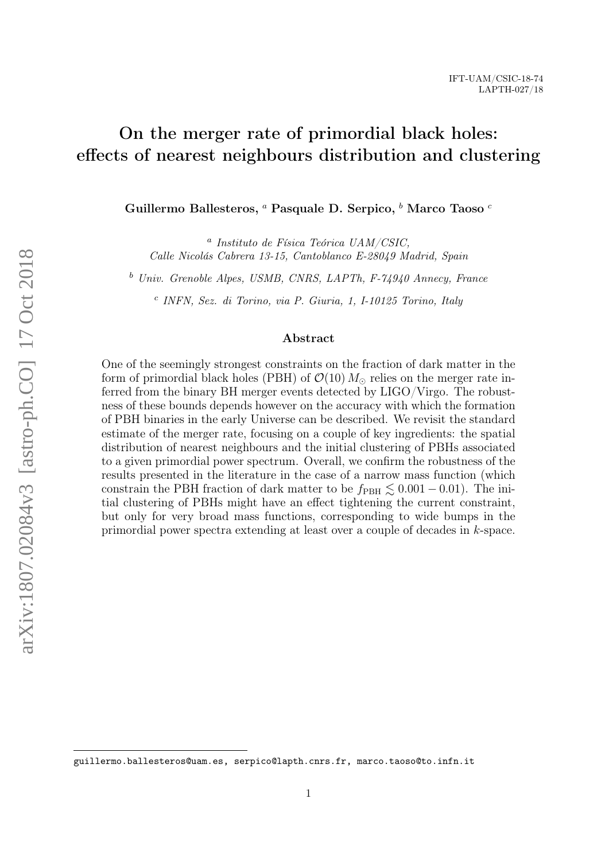# On the merger rate of primordial black holes: effects of nearest neighbours distribution and clustering

Guillermo Ballesteros, <sup>*a*</sup> Pasquale D. Serpico, <sup>*b*</sup> Marco Taoso <sup>*c*</sup>

a Instituto de Física Teórica UAM/CSIC, Calle Nicolás Cabrera 13-15, Cantoblanco E-28049 Madrid, Spain

<sup>b</sup> Univ. Grenoble Alpes, USMB, CNRS, LAPTh, F-74940 Annecy, France

c INFN, Sez. di Torino, via P. Giuria, 1, I-10125 Torino, Italy

#### Abstract

One of the seemingly strongest constraints on the fraction of dark matter in the form of primordial black holes (PBH) of  $\mathcal{O}(10) M_{\odot}$  relies on the merger rate inferred from the binary BH merger events detected by LIGO/Virgo. The robustness of these bounds depends however on the accuracy with which the formation of PBH binaries in the early Universe can be described. We revisit the standard estimate of the merger rate, focusing on a couple of key ingredients: the spatial distribution of nearest neighbours and the initial clustering of PBHs associated to a given primordial power spectrum. Overall, we confirm the robustness of the results presented in the literature in the case of a narrow mass function (which constrain the PBH fraction of dark matter to be  $f_{\text{PBH}} \lesssim 0.001 - 0.01$ . The initial clustering of PBHs might have an effect tightening the current constraint, but only for very broad mass functions, corresponding to wide bumps in the primordial power spectra extending at least over a couple of decades in k-space.

guillermo.ballesteros@uam.es, serpico@lapth.cnrs.fr, marco.taoso@to.infn.it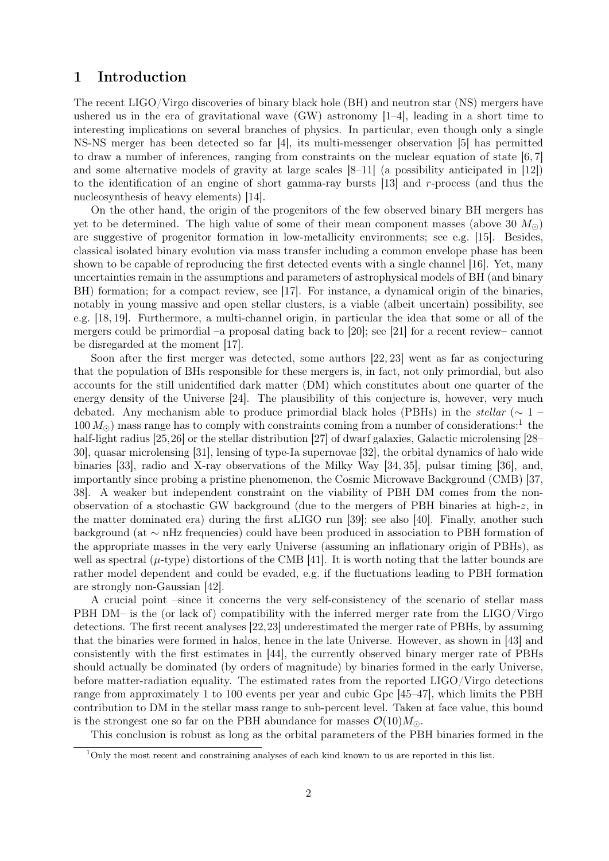## 1 Introduction

The recent LIGO/Virgo discoveries of binary black hole (BH) and neutron star (NS) mergers have ushered us in the era of gravitational wave (GW) astronomy [\[1–](#page-17-0)[4\]](#page-17-1), leading in a short time to interesting implications on several branches of physics. In particular, even though only a single NS-NS merger has been detected so far [\[4\]](#page-17-1), its multi-messenger observation [\[5\]](#page-17-2) has permitted to draw a number of inferences, ranging from constraints on the nuclear equation of state [\[6,](#page-17-3) [7\]](#page-17-4) and some alternative models of gravity at large scales [\[8](#page-17-5)[–11\]](#page-18-0) (a possibility anticipated in [\[12\]](#page-18-1)) to the identification of an engine of short gamma-ray bursts [\[13\]](#page-18-2) and r-process (and thus the nucleosynthesis of heavy elements) [\[14\]](#page-18-3).

On the other hand, the origin of the progenitors of the few observed binary BH mergers has yet to be determined. The high value of some of their mean component masses (above 30  $M_{\odot}$ ) are suggestive of progenitor formation in low-metallicity environments; see e.g. [\[15\]](#page-18-4). Besides, classical isolated binary evolution via mass transfer including a common envelope phase has been shown to be capable of reproducing the first detected events with a single channel [\[16\]](#page-18-5). Yet, many uncertainties remain in the assumptions and parameters of astrophysical models of BH (and binary BH) formation; for a compact review, see [\[17\]](#page-18-6). For instance, a dynamical origin of the binaries, notably in young massive and open stellar clusters, is a viable (albeit uncertain) possibility, see e.g. [\[18,](#page-18-7) [19\]](#page-18-8). Furthermore, a multi-channel origin, in particular the idea that some or all of the mergers could be primordial –a proposal dating back to [\[20\]](#page-18-9); see [\[21\]](#page-18-10) for a recent review– cannot be disregarded at the moment [\[17\]](#page-18-6).

Soon after the first merger was detected, some authors [\[22,](#page-18-11) [23\]](#page-18-12) went as far as conjecturing that the population of BHs responsible for these mergers is, in fact, not only primordial, but also accounts for the still unidentified dark matter (DM) which constitutes about one quarter of the energy density of the Universe [\[24\]](#page-18-13). The plausibility of this conjecture is, however, very much debated. Any mechanism able to produce primordial black holes (PBHs) in the stellar ( $\sim 1$  –  $100 M_{\odot}$  $100 M_{\odot}$ ) mass range has to comply with constraints coming from a number of considerations:<sup>1</sup> the half-light radius [\[25,](#page-18-14)[26\]](#page-18-15) or the stellar distribution [\[27\]](#page-18-16) of dwarf galaxies, Galactic microlensing [\[28–](#page-18-17) [30\]](#page-18-18), quasar microlensing [\[31\]](#page-18-19), lensing of type-Ia supernovae [\[32\]](#page-18-20), the orbital dynamics of halo wide binaries [\[33\]](#page-18-21), radio and X-ray observations of the Milky Way [\[34,](#page-18-22) [35\]](#page-18-23), pulsar timing [\[36\]](#page-19-0), and, importantly since probing a pristine phenomenon, the Cosmic Microwave Background (CMB) [\[37,](#page-19-1) [38\]](#page-19-2). A weaker but independent constraint on the viability of PBH DM comes from the nonobservation of a stochastic GW background (due to the mergers of PBH binaries at high-z, in the matter dominated era) during the first aLIGO run [\[39\]](#page-19-3); see also [\[40\]](#page-19-4). Finally, another such background (at ∼ nHz frequencies) could have been produced in association to PBH formation of the appropriate masses in the very early Universe (assuming an inflationary origin of PBHs), as well as spectral ( $\mu$ -type) distortions of the CMB [\[41\]](#page-19-5). It is worth noting that the latter bounds are rather model dependent and could be evaded, e.g. if the fluctuations leading to PBH formation are strongly non-Gaussian [\[42\]](#page-19-6).

A crucial point –since it concerns the very self-consistency of the scenario of stellar mass PBH DM– is the (or lack of) compatibility with the inferred merger rate from the LIGO/Virgo detections. The first recent analyses [\[22,](#page-18-11)[23\]](#page-18-12) underestimated the merger rate of PBHs, by assuming that the binaries were formed in halos, hence in the late Universe. However, as shown in [\[43\]](#page-19-7) and consistently with the first estimates in [\[44\]](#page-19-8), the currently observed binary merger rate of PBHs should actually be dominated (by orders of magnitude) by binaries formed in the early Universe, before matter-radiation equality. The estimated rates from the reported LIGO/Virgo detections range from approximately 1 to 100 events per year and cubic Gpc [\[45–](#page-19-9)[47\]](#page-19-10), which limits the PBH contribution to DM in the stellar mass range to sub-percent level. Taken at face value, this bound is the strongest one so far on the PBH abundance for masses  $\mathcal{O}(10)M_{\odot}$ .

This conclusion is robust as long as the orbital parameters of the PBH binaries formed in the

<span id="page-1-0"></span><sup>1</sup>Only the most recent and constraining analyses of each kind known to us are reported in this list.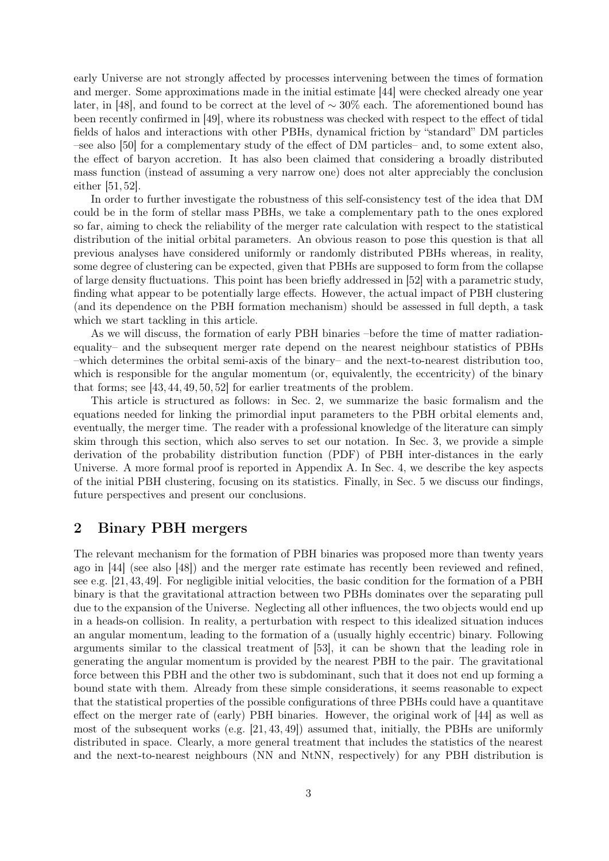early Universe are not strongly affected by processes intervening between the times of formation and merger. Some approximations made in the initial estimate [\[44\]](#page-19-8) were checked already one year later, in [\[48\]](#page-19-11), and found to be correct at the level of ∼ 30% each. The aforementioned bound has been recently confirmed in [\[49\]](#page-19-12), where its robustness was checked with respect to the effect of tidal fields of halos and interactions with other PBHs, dynamical friction by "standard" DM particles –see also [\[50\]](#page-19-13) for a complementary study of the effect of DM particles– and, to some extent also, the effect of baryon accretion. It has also been claimed that considering a broadly distributed mass function (instead of assuming a very narrow one) does not alter appreciably the conclusion either [\[51,](#page-19-14) [52\]](#page-19-15).

In order to further investigate the robustness of this self-consistency test of the idea that DM could be in the form of stellar mass PBHs, we take a complementary path to the ones explored so far, aiming to check the reliability of the merger rate calculation with respect to the statistical distribution of the initial orbital parameters. An obvious reason to pose this question is that all previous analyses have considered uniformly or randomly distributed PBHs whereas, in reality, some degree of clustering can be expected, given that PBHs are supposed to form from the collapse of large density fluctuations. This point has been briefly addressed in [\[52\]](#page-19-15) with a parametric study, finding what appear to be potentially large effects. However, the actual impact of PBH clustering (and its dependence on the PBH formation mechanism) should be assessed in full depth, a task which we start tackling in this article.

As we will discuss, the formation of early PBH binaries –before the time of matter radiationequality– and the subsequent merger rate depend on the nearest neighbour statistics of PBHs –which determines the orbital semi-axis of the binary– and the next-to-nearest distribution too, which is responsible for the angular momentum (or, equivalently, the eccentricity) of the binary that forms; see [\[43,](#page-19-7) [44,](#page-19-8) [49,](#page-19-12) [50,](#page-19-13) [52\]](#page-19-15) for earlier treatments of the problem.

This article is structured as follows: in Sec. [2,](#page-2-0) we summarize the basic formalism and the equations needed for linking the primordial input parameters to the PBH orbital elements and, eventually, the merger time. The reader with a professional knowledge of the literature can simply skim through this section, which also serves to set our notation. In Sec. [3,](#page-4-0) we provide a simple derivation of the probability distribution function (PDF) of PBH inter-distances in the early Universe. A more formal proof is reported in Appendix [A.](#page-14-0) In Sec. [4,](#page-5-0) we describe the key aspects of the initial PBH clustering, focusing on its statistics. Finally, in Sec. [5](#page-11-0) we discuss our findings, future perspectives and present our conclusions.

## <span id="page-2-0"></span>2 Binary PBH mergers

The relevant mechanism for the formation of PBH binaries was proposed more than twenty years ago in [\[44\]](#page-19-8) (see also [\[48\]](#page-19-11)) and the merger rate estimate has recently been reviewed and refined, see e.g. [\[21,](#page-18-10)[43,](#page-19-7)[49\]](#page-19-12). For negligible initial velocities, the basic condition for the formation of a PBH binary is that the gravitational attraction between two PBHs dominates over the separating pull due to the expansion of the Universe. Neglecting all other influences, the two objects would end up in a heads-on collision. In reality, a perturbation with respect to this idealized situation induces an angular momentum, leading to the formation of a (usually highly eccentric) binary. Following arguments similar to the classical treatment of [\[53\]](#page-19-16), it can be shown that the leading role in generating the angular momentum is provided by the nearest PBH to the pair. The gravitational force between this PBH and the other two is subdominant, such that it does not end up forming a bound state with them. Already from these simple considerations, it seems reasonable to expect that the statistical properties of the possible configurations of three PBHs could have a quantitave effect on the merger rate of (early) PBH binaries. However, the original work of [\[44\]](#page-19-8) as well as most of the subsequent works (e.g. [\[21,](#page-18-10) [43,](#page-19-7) [49\]](#page-19-12)) assumed that, initially, the PBHs are uniformly distributed in space. Clearly, a more general treatment that includes the statistics of the nearest and the next-to-nearest neighbours (NN and NtNN, respectively) for any PBH distribution is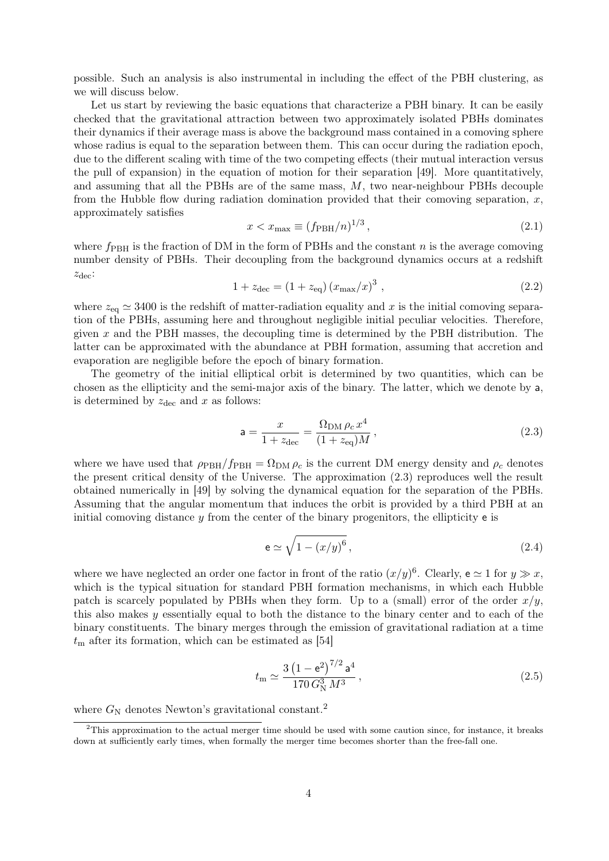possible. Such an analysis is also instrumental in including the effect of the PBH clustering, as we will discuss below.

Let us start by reviewing the basic equations that characterize a PBH binary. It can be easily checked that the gravitational attraction between two approximately isolated PBHs dominates their dynamics if their average mass is above the background mass contained in a comoving sphere whose radius is equal to the separation between them. This can occur during the radiation epoch, due to the different scaling with time of the two competing effects (their mutual interaction versus the pull of expansion) in the equation of motion for their separation [\[49\]](#page-19-12). More quantitatively, and assuming that all the PBHs are of the same mass, M, two near-neighbour PBHs decouple from the Hubble flow during radiation domination provided that their comoving separation,  $x$ , approximately satisfies

<span id="page-3-4"></span>
$$
x < x_{\text{max}} \equiv (f_{\text{PBH}}/n)^{1/3},\tag{2.1}
$$

where  $f_{\rm PBH}$  is the fraction of DM in the form of PBHs and the constant n is the average comoving number density of PBHs. Their decoupling from the background dynamics occurs at a redshift  $z_{\text{dec}}$ :

$$
1 + z_{\text{dec}} = (1 + z_{\text{eq}}) (x_{\text{max}}/x)^3 , \qquad (2.2)
$$

where  $z_{eq} \simeq 3400$  is the redshift of matter-radiation equality and x is the initial comoving separation of the PBHs, assuming here and throughout negligible initial peculiar velocities. Therefore, given  $x$  and the PBH masses, the decoupling time is determined by the PBH distribution. The latter can be approximated with the abundance at PBH formation, assuming that accretion and evaporation are negligible before the epoch of binary formation.

The geometry of the initial elliptical orbit is determined by two quantities, which can be chosen as the ellipticity and the semi-major axis of the binary. The latter, which we denote by a, is determined by  $z_{\text{dec}}$  and x as follows:

<span id="page-3-0"></span>
$$
a = \frac{x}{1 + z_{\text{dec}}} = \frac{\Omega_{\text{DM}} \rho_c x^4}{(1 + z_{\text{eq}})M},
$$
\n(2.3)

where we have used that  $\rho_{PBH}/f_{PBH} = \Omega_{DM} \rho_c$  is the current DM energy density and  $\rho_c$  denotes the present critical density of the Universe. The approximation [\(2.3\)](#page-3-0) reproduces well the result obtained numerically in [\[49\]](#page-19-12) by solving the dynamical equation for the separation of the PBHs. Assuming that the angular momentum that induces the orbit is provided by a third PBH at an initial comoving distance  $y$  from the center of the binary progenitors, the ellipticity  $e$  is

<span id="page-3-2"></span>
$$
e \simeq \sqrt{1 - (x/y)^6} \,,\tag{2.4}
$$

where we have neglected an order one factor in front of the ratio  $(x/y)^6$ . Clearly,  $e \simeq 1$  for  $y \gg x$ , which is the typical situation for standard PBH formation mechanisms, in which each Hubble patch is scarcely populated by PBHs when they form. Up to a (small) error of the order  $x/y$ , this also makes y essentially equal to both the distance to the binary center and to each of the binary constituents. The binary merges through the emission of gravitational radiation at a time  $t<sub>m</sub>$  after its formation, which can be estimated as [\[54\]](#page-19-17)

<span id="page-3-3"></span>
$$
t_{\rm m} \simeq \frac{3\left(1 - \mathbf{e}^2\right)^{7/2} \mathbf{a}^4}{170\, G_{\rm N}^3 \, M^3} \,, \tag{2.5}
$$

where  $G_N$  denotes Newton's gravitational constant.<sup>[2](#page-3-1)</sup>

<span id="page-3-1"></span> $2$ This approximation to the actual merger time should be used with some caution since, for instance, it breaks down at sufficiently early times, when formally the merger time becomes shorter than the free-fall one.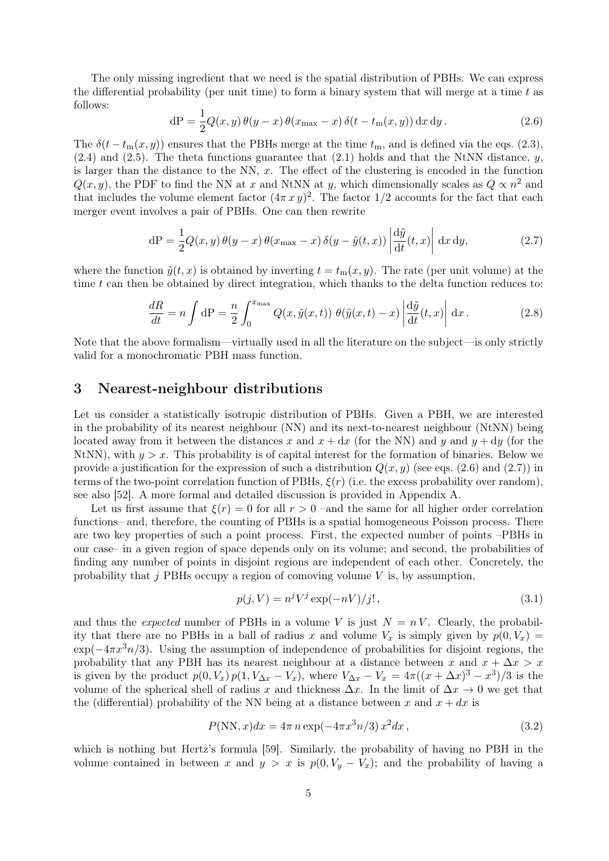The only missing ingredient that we need is the spatial distribution of PBHs. We can express the differential probability (per unit time) to form a binary system that will merge at a time  $t$  as follows:

<span id="page-4-1"></span>
$$
dP = \frac{1}{2}Q(x, y)\,\theta(y - x)\,\theta(x_{\text{max}} - x)\,\delta(t - t_{\text{m}}(x, y))\,\mathrm{d}x\,\mathrm{d}y\,. \tag{2.6}
$$

The  $\delta(t - t_m(x, y))$  ensures that the PBHs merge at the time  $t_m$ , and is defined via the eqs. [\(2.3\)](#page-3-0),  $(2.4)$  and  $(2.5)$ . The theta functions guarantee that  $(2.1)$  holds and that the NtNN distance, y, is larger than the distance to the NN,  $x$ . The effect of the clustering is encoded in the function  $Q(x, y)$ , the PDF to find the NN at x and NtNN at y, which dimensionally scales as  $Q \propto n^2$  and that includes the volume element factor  $(4\pi x y)^2$ . The factor 1/2 accounts for the fact that each merger event involves a pair of PBHs. One can then rewrite

<span id="page-4-2"></span>
$$
dP = \frac{1}{2}Q(x, y)\theta(y - x)\theta(x_{\text{max}} - x)\delta(y - \tilde{y}(t, x))\left|\frac{d\tilde{y}}{dt}(t, x)\right| dx dy, \qquad (2.7)
$$

where the function  $\tilde{y}(t, x)$  is obtained by inverting  $t = t_m(x, y)$ . The rate (per unit volume) at the time  $t$  can then be obtained by direct integration, which thanks to the delta function reduces to:

<span id="page-4-5"></span>
$$
\frac{dR}{dt} = n \int dP = \frac{n}{2} \int_0^{x_{\text{max}}} Q(x, \tilde{y}(x, t)) \ \theta(\tilde{y}(x, t) - x) \left| \frac{d\tilde{y}}{dt}(t, x) \right| \, \mathrm{d}x \,. \tag{2.8}
$$

Note that the above formalism—virtually used in all the literature on the subject—is only strictly valid for a monochromatic PBH mass function.

#### <span id="page-4-0"></span>3 Nearest-neighbour distributions

Let us consider a statistically isotropic distribution of PBHs. Given a PBH, we are interested in the probability of its nearest neighbour (NN) and its next-to-nearest neighbour (NtNN) being located away from it between the distances x and  $x + dx$  (for the NN) and y and  $y + dy$  (for the NtNN), with  $y > x$ . This probability is of capital interest for the formation of binaries. Below we provide a justification for the expression of such a distribution  $Q(x, y)$  (see eqs. [\(2.6\)](#page-4-1) and [\(2.7\)](#page-4-2)) in terms of the two-point correlation function of PBHs,  $\xi(r)$  (i.e. the excess probability over random), see also [\[52\]](#page-19-15). A more formal and detailed discussion is provided in Appendix [A.](#page-14-0)

Let us first assume that  $\xi(r) = 0$  for all  $r > 0$  –and the same for all higher order correlation functions– and, therefore, the counting of PBHs is a spatial homogeneous Poisson process. There are two key properties of such a point process. First, the expected number of points –PBHs in our case– in a given region of space depends only on its volume; and second, the probabilities of finding any number of points in disjoint regions are independent of each other. Concretely, the probability that  $j$  PBHs occupy a region of comoving volume  $V$  is, by assumption,

<span id="page-4-4"></span><span id="page-4-3"></span>
$$
p(j, V) = nj Vj \exp(-nV)/j!,
$$
\n(3.1)

and thus the *expected* number of PBHs in a volume V is just  $N = nV$ . Clearly, the probability that there are no PBHs in a ball of radius x and volume  $V_x$  is simply given by  $p(0, V_x) =$  $\exp(-4\pi x^3 n/3)$ . Using the assumption of independence of probabilities for disjoint regions, the probability that any PBH has its nearest neighbour at a distance between x and  $x + \Delta x > x$ is given by the product  $p(0, V_x) p(1, V_{\Delta x} - V_x)$ , where  $V_{\Delta x} - V_x = 4\pi((x + \Delta x)^3 - x^3)/3$  is the volume of the spherical shell of radius x and thickness  $\Delta x$ . In the limit of  $\Delta x \to 0$  we get that the (differential) probability of the NN being at a distance between x and  $x + dx$  is

$$
P(NN, x)dx = 4\pi n \exp(-4\pi x^3 n/3) x^2 dx,
$$
\n(3.2)

which is nothing but Hertz's formula [\[59\]](#page-19-18). Similarly, the probability of having no PBH in the volume contained in between x and  $y > x$  is  $p(0, V_y - V_x)$ ; and the probability of having a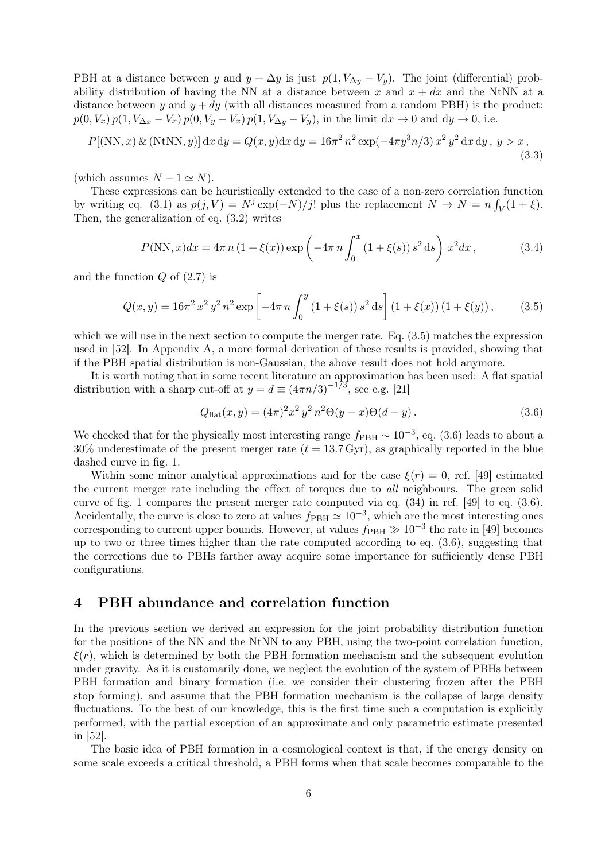PBH at a distance between y and  $y + \Delta y$  is just  $p(1, V_{\Delta y} - V_y)$ . The joint (differential) probability distribution of having the NN at a distance between x and  $x + dx$  and the NtNN at a distance between y and  $y + dy$  (with all distances measured from a random PBH) is the product:  $p(0, V_x) p(1, V_{\Delta x} - V_x) p(0, V_y - V_x) p(1, V_{\Delta y} - V_y)$ , in the limit  $dx \to 0$  and  $dy \to 0$ , i.e.

$$
P[(NN, x) \& (NtNN, y)] dx dy = Q(x, y) dx dy = 16\pi^2 n^2 \exp(-4\pi y^3 n/3) x^2 y^2 dx dy, y > x,
$$
\n(3.3)

(which assumes  $N - 1 \simeq N$ ).

These expressions can be heuristically extended to the case of a non-zero correlation function by writing eq. [\(3.1\)](#page-4-3) as  $p(j, V) = N^j \exp(-N)/j!$  plus the replacement  $N \to N = n \int_V (1 + \xi)$ . Then, the generalization of eq. [\(3.2\)](#page-4-4) writes

$$
P(NN,x)dx = 4\pi n (1 + \xi(x)) \exp\left(-4\pi n \int_0^x (1 + \xi(s)) s^2 ds\right) x^2 dx,
$$
 (3.4)

and the function  $Q$  of  $(2.7)$  is

$$
Q(x,y) = 16\pi^2 x^2 y^2 n^2 \exp\left[-4\pi n \int_0^y (1+\xi(s)) s^2 ds\right] (1+\xi(x)) (1+\xi(y)), \quad (3.5)
$$

which we will use in the next section to compute the merger rate. Eq. [\(3.5\)](#page-5-1) matches the expression used in [\[52\]](#page-19-15). In Appendix [A,](#page-14-0) a more formal derivation of these results is provided, showing that if the PBH spatial distribution is non-Gaussian, the above result does not hold anymore.

It is worth noting that in some recent literature an approximation has been used: A flat spatial distribution with a sharp cut-off at  $y = d \equiv (4\pi n/3)^{-1/3}$ , see e.g. [\[21\]](#page-18-10)

<span id="page-5-3"></span><span id="page-5-2"></span><span id="page-5-1"></span>
$$
Q_{\text{flat}}(x, y) = (4\pi)^2 x^2 y^2 n^2 \Theta(y - x) \Theta(d - y).
$$
 (3.6)

We checked that for the physically most interesting range  $f_{\rm PBH} \sim 10^{-3}$ , eq. [\(3.6\)](#page-5-2) leads to about a  $30\%$  underestimate of the present merger rate  $(t = 13.7 \text{ Gyr})$ , as graphically reported in the blue dashed curve in fig. [1.](#page-6-0)

Within some minor analytical approximations and for the case  $\xi(r) = 0$ , ref. [\[49\]](#page-19-12) estimated the current merger rate including the effect of torques due to all neighbours. The green solid curve of fig. [1](#page-6-0) compares the present merger rate computed via eq. (34) in ref. [\[49\]](#page-19-12) to eq. [\(3.6\)](#page-5-2). Accidentally, the curve is close to zero at values  $f_{\rm PBH} \simeq 10^{-3}$ , which are the most interesting ones corresponding to current upper bounds. However, at values  $f_{\rm PBH} \gg 10^{-3}$  the rate in [\[49\]](#page-19-12) becomes up to two or three times higher than the rate computed according to eq. [\(3.6\)](#page-5-2), suggesting that the corrections due to PBHs farther away acquire some importance for sufficiently dense PBH configurations.

## <span id="page-5-0"></span>4 PBH abundance and correlation function

In the previous section we derived an expression for the joint probability distribution function for the positions of the NN and the NtNN to any PBH, using the two-point correlation function,  $\xi(r)$ , which is determined by both the PBH formation mechanism and the subsequent evolution under gravity. As it is customarily done, we neglect the evolution of the system of PBHs between PBH formation and binary formation (i.e. we consider their clustering frozen after the PBH stop forming), and assume that the PBH formation mechanism is the collapse of large density fluctuations. To the best of our knowledge, this is the first time such a computation is explicitly performed, with the partial exception of an approximate and only parametric estimate presented in [\[52\]](#page-19-15).

The basic idea of PBH formation in a cosmological context is that, if the energy density on some scale exceeds a critical threshold, a PBH forms when that scale becomes comparable to the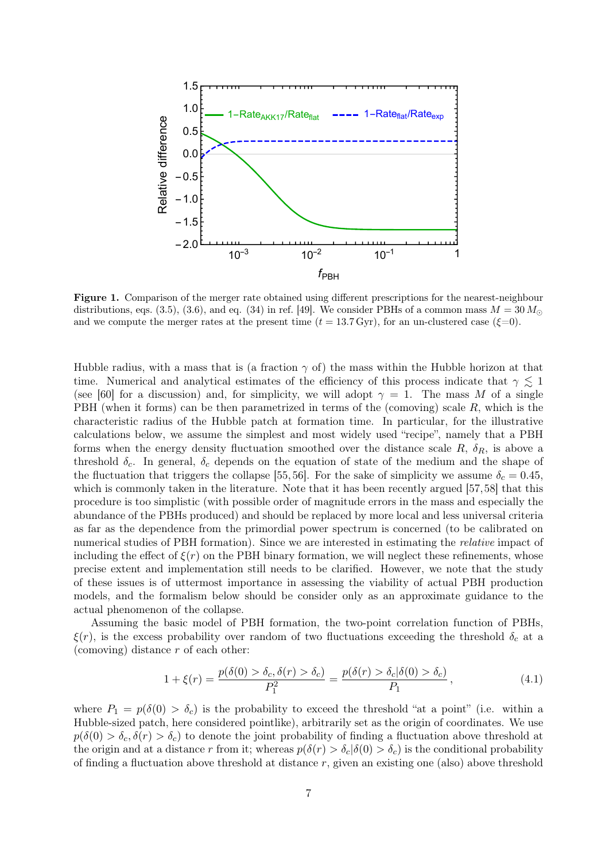<span id="page-6-0"></span>

Figure 1. Comparison of the merger rate obtained using different prescriptions for the nearest-neighbour distributions, eqs. [\(3.5\)](#page-5-1), [\(3.6\)](#page-5-2), and eq. (34) in ref. [\[49\]](#page-19-12). We consider PBHs of a common mass  $M = 30 M_{\odot}$ and we compute the merger rates at the present time  $(t = 13.7 \,\text{Gyr})$ , for an un-clustered case  $(\xi=0)$ .

Hubble radius, with a mass that is (a fraction  $\gamma$  of) the mass within the Hubble horizon at that time. Numerical and analytical estimates of the efficiency of this process indicate that  $\gamma \lesssim 1$ (see [\[60\]](#page-19-19) for a discussion) and, for simplicity, we will adopt  $\gamma = 1$ . The mass M of a single PBH (when it forms) can be then parametrized in terms of the (comoving) scale  $R$ , which is the characteristic radius of the Hubble patch at formation time. In particular, for the illustrative calculations below, we assume the simplest and most widely used "recipe", namely that a PBH forms when the energy density fluctuation smoothed over the distance scale  $R$ ,  $\delta_R$ , is above a threshold  $\delta_c$ . In general,  $\delta_c$  depends on the equation of state of the medium and the shape of the fluctuation that triggers the collapse [\[55,](#page-19-20) [56\]](#page-19-21). For the sake of simplicity we assume  $\delta_c = 0.45$ , which is commonly taken in the literature. Note that it has been recently argued [\[57,](#page-19-22)[58\]](#page-19-23) that this procedure is too simplistic (with possible order of magnitude errors in the mass and especially the abundance of the PBHs produced) and should be replaced by more local and less universal criteria as far as the dependence from the primordial power spectrum is concerned (to be calibrated on numerical studies of PBH formation). Since we are interested in estimating the relative impact of including the effect of  $\xi(r)$  on the PBH binary formation, we will neglect these refinements, whose precise extent and implementation still needs to be clarified. However, we note that the study of these issues is of uttermost importance in assessing the viability of actual PBH production models, and the formalism below should be consider only as an approximate guidance to the actual phenomenon of the collapse.

Assuming the basic model of PBH formation, the two-point correlation function of PBHs,  $\xi(r)$ , is the excess probability over random of two fluctuations exceeding the threshold  $\delta_c$  at a (comoving) distance  $r$  of each other:

<span id="page-6-1"></span>
$$
1 + \xi(r) = \frac{p(\delta(0) > \delta_c, \delta(r) > \delta_c)}{P_1^2} = \frac{p(\delta(r) > \delta_c | \delta(0) > \delta_c)}{P_1},
$$
\n(4.1)

where  $P_1 = p(\delta(0) > \delta_c)$  is the probability to exceed the threshold "at a point" (i.e. within a Hubble-sized patch, here considered pointlike), arbitrarily set as the origin of coordinates. We use  $p(\delta(0) > \delta_c, \delta(r) > \delta_c)$  to denote the joint probability of finding a fluctuation above threshold at the origin and at a distance r from it; whereas  $p(\delta(r) > \delta_c | \delta(0) > \delta_c)$  is the conditional probability of finding a fluctuation above threshold at distance  $r$ , given an existing one (also) above threshold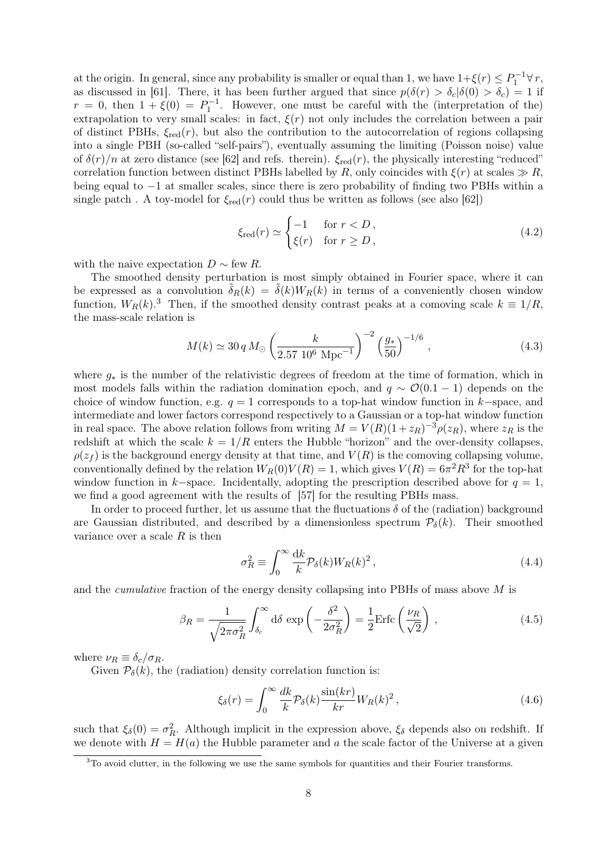at the origin. In general, since any probability is smaller or equal than 1, we have  $1+\xi(r) \le P_1^{-1} \forall r$ , as discussed in [\[61\]](#page-19-24). There, it has been further argued that since  $p(\delta(r) > \delta_c|\delta(0) > \delta_c) = 1$  if  $r = 0$ , then  $1 + \xi(0) = P_1^{-1}$ . However, one must be careful with the (interpretation of the) extrapolation to very small scales: in fact,  $\xi(r)$  not only includes the correlation between a pair of distinct PBHs,  $\xi_{red}(r)$ , but also the contribution to the autocorrelation of regions collapsing into a single PBH (so-called "self-pairs"), eventually assuming the limiting (Poisson noise) value of  $\delta(r)/n$  at zero distance (see [\[62\]](#page-20-0) and refs. therein).  $\xi_{\text{red}}(r)$ , the physically interesting "reduced" correlation function between distinct PBHs labelled by R, only coincides with  $\xi(r)$  at scales  $\gg R$ , being equal to −1 at smaller scales, since there is zero probability of finding two PBHs within a single patch. A toy-model for  $\xi_{\text{red}}(r)$  could thus be written as follows (see also [\[62\]](#page-20-0))

$$
\xi_{\text{red}}(r) \simeq \begin{cases} -1 & \text{for } r < D \,, \\ \xi(r) & \text{for } r \ge D \,, \end{cases} \tag{4.2}
$$

with the naive expectation  $D \sim$  few R.

The smoothed density perturbation is most simply obtained in Fourier space, where it can be expressed as a convolution  $\tilde{\delta}_R(k) = \tilde{\delta}(k)W_R(k)$  in terms of a conveniently chosen window function,  $W_R(k)$ <sup>[3](#page-7-0)</sup>. Then, if the smoothed density contrast peaks at a comoving scale  $k \equiv 1/R$ , the mass-scale relation is

<span id="page-7-4"></span>
$$
M(k) \simeq 30 q M_{\odot} \left(\frac{k}{2.57 \ 10^6 \ \mathrm{Mpc}^{-1}}\right)^{-2} \left(\frac{g_*}{50}\right)^{-1/6},\tag{4.3}
$$

where  $g_*$  is the number of the relativistic degrees of freedom at the time of formation, which in most models falls within the radiation domination epoch, and  $q \sim \mathcal{O}(0.1 - 1)$  depends on the choice of window function, e.g.  $q = 1$  corresponds to a top-hat window function in k–space, and intermediate and lower factors correspond respectively to a Gaussian or a top-hat window function in real space. The above relation follows from writing  $M = V(R)(1 + z_R)^{-3} \rho(z_R)$ , where  $z_R$  is the redshift at which the scale  $k = 1/R$  enters the Hubble "horizon" and the over-density collapses.  $\rho(z_f)$  is the background energy density at that time, and  $V(R)$  is the comoving collapsing volume, conventionally defined by the relation  $W_R(0)V(R) = 1$ , which gives  $V(R) = 6\pi^2 R^3$  for the top-hat window function in k–space. Incidentally, adopting the prescription described above for  $q = 1$ , we find a good agreement with the results of [\[57\]](#page-19-22) for the resulting PBHs mass.

In order to proceed further, let us assume that the fluctuations  $\delta$  of the (radiation) background are Gaussian distributed, and described by a dimensionless spectrum  $P_{\delta}(k)$ . Their smoothed variance over a scale  $R$  is then

<span id="page-7-2"></span>
$$
\sigma_R^2 \equiv \int_0^\infty \frac{\mathrm{d}k}{k} \mathcal{P}_\delta(k) W_R(k)^2 \,,\tag{4.4}
$$

and the cumulative fraction of the energy density collapsing into PBHs of mass above M is

<span id="page-7-3"></span>
$$
\beta_R = \frac{1}{\sqrt{2\pi\sigma_R^2}} \int_{\delta_c}^{\infty} d\delta \exp\left(-\frac{\delta^2}{2\sigma_R^2}\right) = \frac{1}{2} \text{Erfc}\left(\frac{\nu_R}{\sqrt{2}}\right),\tag{4.5}
$$

where  $\nu_R \equiv \delta_c/\sigma_R$ .

Given  $P_{\delta}(k)$ , the (radiation) density correlation function is:

<span id="page-7-1"></span>
$$
\xi_{\delta}(r) = \int_0^\infty \frac{dk}{k} \mathcal{P}_{\delta}(k) \frac{\sin(kr)}{kr} W_R(k)^2 \,, \tag{4.6}
$$

such that  $\xi_{\delta}(0) = \sigma_R^2$ . Although implicit in the expression above,  $\xi_{\delta}$  depends also on redshift. If we denote with  $H = H(a)$  the Hubble parameter and a the scale factor of the Universe at a given

<span id="page-7-0"></span><sup>&</sup>lt;sup>3</sup>To avoid clutter, in the following we use the same symbols for quantities and their Fourier transforms.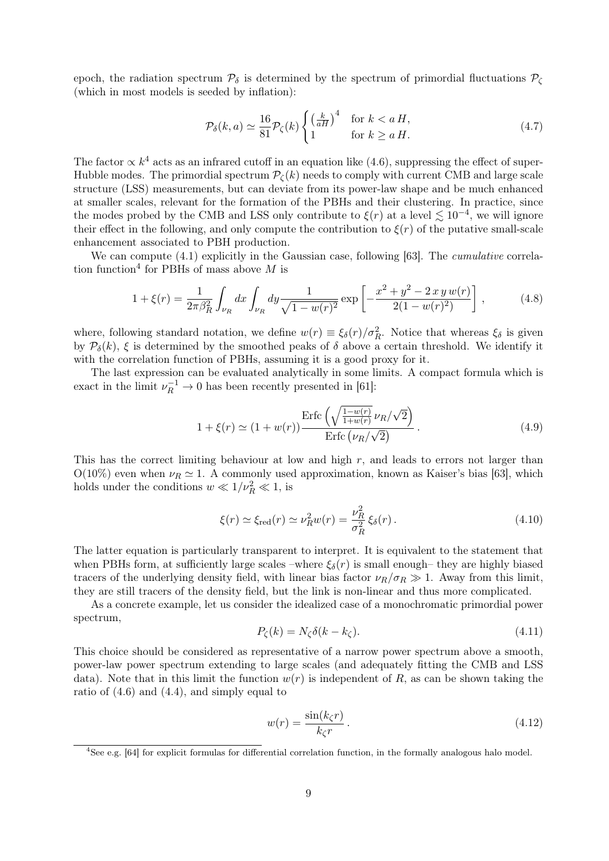epoch, the radiation spectrum  $P_{\delta}$  is determined by the spectrum of primordial fluctuations  $P_{\zeta}$ (which in most models is seeded by inflation):

$$
\mathcal{P}_{\delta}(k, a) \simeq \frac{16}{81} \mathcal{P}_{\zeta}(k) \begin{cases} \left(\frac{k}{aH}\right)^4 & \text{for } k < a \ H, \\ 1 & \text{for } k \ge a \ H. \end{cases}
$$
 (4.7)

The factor  $\propto k^4$  acts as an infrared cutoff in an equation like [\(4.6\)](#page-7-1), suppressing the effect of super-Hubble modes. The primordial spectrum  $\mathcal{P}_{\mathcal{C}}(k)$  needs to comply with current CMB and large scale structure (LSS) measurements, but can deviate from its power-law shape and be much enhanced at smaller scales, relevant for the formation of the PBHs and their clustering. In practice, since the modes probed by the CMB and LSS only contribute to  $\xi(r)$  at a level  $\lesssim 10^{-4}$ , we will ignore their effect in the following, and only compute the contribution to  $\xi(r)$  of the putative small-scale enhancement associated to PBH production.

We can compute [\(4.1\)](#page-6-1) explicitly in the Gaussian case, following [\[63\]](#page-20-1). The *cumulative* correla-tion function<sup>[4](#page-8-0)</sup> for PBHs of mass above M is

<span id="page-8-2"></span>
$$
1 + \xi(r) = \frac{1}{2\pi\beta_R^2} \int_{\nu_R} dx \int_{\nu_R} dy \frac{1}{\sqrt{1 - w(r)^2}} \exp\left[-\frac{x^2 + y^2 - 2xyw(r)}{2(1 - w(r)^2)}\right],
$$
 (4.8)

where, following standard notation, we define  $w(r) \equiv \xi_{\delta}(r)/\sigma_R^2$ . Notice that whereas  $\xi_{\delta}$  is given by  $\mathcal{P}_{\delta}(k)$ ,  $\xi$  is determined by the smoothed peaks of  $\delta$  above a certain threshold. We identify it with the correlation function of PBHs, assuming it is a good proxy for it.

The last expression can be evaluated analytically in some limits. A compact formula which is exact in the limit  $\nu_R^{-1} \to 0$  has been recently presented in [\[61\]](#page-19-24):

<span id="page-8-3"></span>
$$
1 + \xi(r) \simeq (1 + w(r)) \frac{\text{Erfc}\left(\sqrt{\frac{1 - w(r)}{1 + w(r)}} \nu_R/\sqrt{2}\right)}{\text{Erfc}\left(\nu_R/\sqrt{2}\right)}\,. \tag{4.9}
$$

This has the correct limiting behaviour at low and high r, and leads to errors not larger than  $O(10\%)$  even when  $\nu_R \simeq 1$ . A commonly used approximation, known as Kaiser's bias [\[63\]](#page-20-1), which holds under the conditions  $w \ll 1/v_R^2 \ll 1$ , is

<span id="page-8-4"></span>
$$
\xi(r) \simeq \xi_{\text{red}}(r) \simeq \nu_R^2 w(r) = \frac{\nu_R^2}{\sigma_R^2} \xi_\delta(r). \tag{4.10}
$$

The latter equation is particularly transparent to interpret. It is equivalent to the statement that when PBHs form, at sufficiently large scales –where  $\xi_{\delta}(r)$  is small enough– they are highly biased tracers of the underlying density field, with linear bias factor  $\nu_R/\sigma_R \gg 1$ . Away from this limit, they are still tracers of the density field, but the link is non-linear and thus more complicated.

As a concrete example, let us consider the idealized case of a monochromatic primordial power spectrum,

<span id="page-8-1"></span>
$$
P_{\zeta}(k) = N_{\zeta} \delta(k - k_{\zeta}). \tag{4.11}
$$

This choice should be considered as representative of a narrow power spectrum above a smooth, power-law power spectrum extending to large scales (and adequately fitting the CMB and LSS data). Note that in this limit the function  $w(r)$  is independent of R, as can be shown taking the ratio of [\(4.6\)](#page-7-1) and [\(4.4\)](#page-7-2), and simply equal to

$$
w(r) = \frac{\sin(k_{\zeta}r)}{k_{\zeta}r}.
$$
\n(4.12)

<span id="page-8-0"></span><sup>4</sup>See e.g. [\[64\]](#page-20-2) for explicit formulas for differential correlation function, in the formally analogous halo model.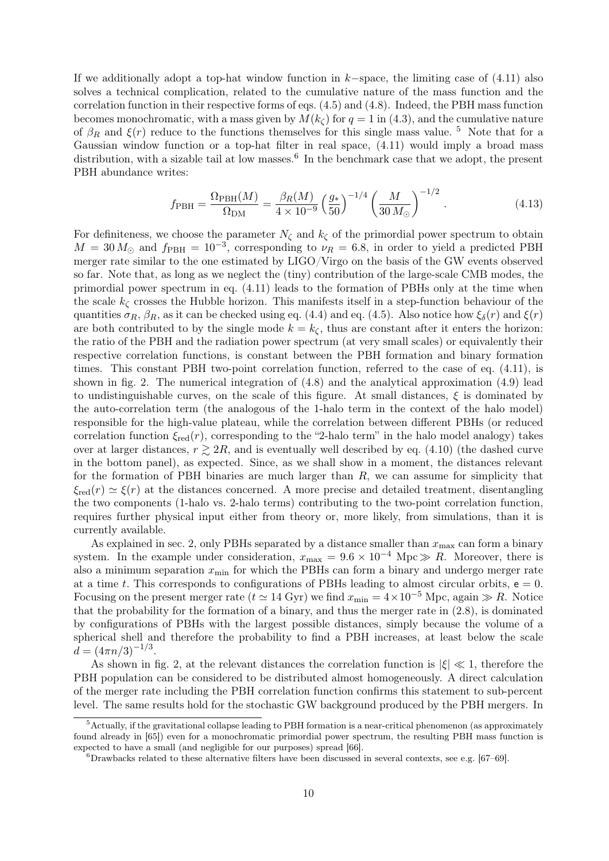If we additionally adopt a top-hat window function in  $k$ -space, the limiting case of  $(4.11)$  also solves a technical complication, related to the cumulative nature of the mass function and the correlation function in their respective forms of eqs. [\(4.5\)](#page-7-3) and [\(4.8\)](#page-8-2). Indeed, the PBH mass function becomes monochromatic, with a mass given by  $M(k<sub>c</sub>)$  for  $q = 1$  in [\(4.3\)](#page-7-4), and the cumulative nature of  $\beta_R$  and  $\xi(r)$  reduce to the functions themselves for this single mass value. <sup>[5](#page-9-0)</sup> Note that for a Gaussian window function or a top-hat filter in real space, [\(4.11\)](#page-8-1) would imply a broad mass distribution, with a sizable tail at low masses.<sup>[6](#page-9-1)</sup> In the benchmark case that we adopt, the present PBH abundance writes:

$$
f_{\rm PBH} = \frac{\Omega_{\rm PBH}(M)}{\Omega_{\rm DM}} = \frac{\beta_R(M)}{4 \times 10^{-9}} \left(\frac{g_*}{50}\right)^{-1/4} \left(\frac{M}{30 \, M_\odot}\right)^{-1/2} . \tag{4.13}
$$

For definiteness, we choose the parameter  $N_{\zeta}$  and  $k_{\zeta}$  of the primordial power spectrum to obtain  $M = 30 M_{\odot}$  and  $f_{\rm PBH} = 10^{-3}$ , corresponding to  $\nu_R = 6.8$ , in order to yield a predicted PBH merger rate similar to the one estimated by LIGO/Virgo on the basis of the GW events observed so far. Note that, as long as we neglect the (tiny) contribution of the large-scale CMB modes, the primordial power spectrum in eq. [\(4.11\)](#page-8-1) leads to the formation of PBHs only at the time when the scale  $k_{\zeta}$  crosses the Hubble horizon. This manifests itself in a step-function behaviour of the quantities  $\sigma_R$ ,  $\beta_R$ , as it can be checked using eq. [\(4.4\)](#page-7-2) and eq. [\(4.5\)](#page-7-3). Also notice how  $\xi_\delta(r)$  and  $\xi(r)$ are both contributed to by the single mode  $k = k<sub>\zeta</sub>$ , thus are constant after it enters the horizon: the ratio of the PBH and the radiation power spectrum (at very small scales) or equivalently their respective correlation functions, is constant between the PBH formation and binary formation times. This constant PBH two-point correlation function, referred to the case of eq. [\(4.11\)](#page-8-1), is shown in fig. [2.](#page-10-0) The numerical integration of [\(4.8\)](#page-8-2) and the analytical approximation [\(4.9\)](#page-8-3) lead to undistinguishable curves, on the scale of this figure. At small distances,  $\xi$  is dominated by the auto-correlation term (the analogous of the 1-halo term in the context of the halo model) responsible for the high-value plateau, while the correlation between different PBHs (or reduced correlation function  $\xi_{\text{red}}(r)$ , corresponding to the "2-halo term" in the halo model analogy) takes over at larger distances,  $r \geq 2R$ , and is eventually well described by eq. [\(4.10\)](#page-8-4) (the dashed curve in the bottom panel), as expected. Since, as we shall show in a moment, the distances relevant for the formation of PBH binaries are much larger than  $R$ , we can assume for simplicity that  $\xi_{\text{red}}(r) \simeq \xi(r)$  at the distances concerned. A more precise and detailed treatment, disentangling the two components (1-halo vs. 2-halo terms) contributing to the two-point correlation function, requires further physical input either from theory or, more likely, from simulations, than it is currently available.

As explained in sec. [2,](#page-2-0) only PBHs separated by a distance smaller than  $x_{\text{max}}$  can form a binary system. In the example under consideration,  $x_{\text{max}} = 9.6 \times 10^{-4} \text{ Mpc} \gg R$ . Moreover, there is also a minimum separation  $x_{\text{min}}$  for which the PBHs can form a binary and undergo merger rate at a time t. This corresponds to configurations of PBHs leading to almost circular orbits,  $e = 0$ . Focusing on the present merger rate ( $t \approx 14$  Gyr) we find  $x_{\rm min} = 4 \times 10^{-5}$  Mpc, again  $\gg R$ . Notice that the probability for the formation of a binary, and thus the merger rate in [\(2.8\)](#page-4-5), is dominated by configurations of PBHs with the largest possible distances, simply because the volume of a spherical shell and therefore the probability to find a PBH increases, at least below the scale  $d = (4\pi n/3)^{-1/3}.$ 

As shown in fig. [2,](#page-10-0) at the relevant distances the correlation function is  $|\xi| \ll 1$ , therefore the PBH population can be considered to be distributed almost homogeneously. A direct calculation of the merger rate including the PBH correlation function confirms this statement to sub-percent level. The same results hold for the stochastic GW background produced by the PBH mergers. In

<span id="page-9-0"></span><sup>5</sup>Actually, if the gravitational collapse leading to PBH formation is a near-critical phenomenon (as approximately found already in [\[65\]](#page-20-3)) even for a monochromatic primordial power spectrum, the resulting PBH mass function is expected to have a small (and negligible for our purposes) spread [\[66\]](#page-20-4).

<span id="page-9-1"></span> $6D$ rawbacks related to these alternative filters have been discussed in several contexts, see e.g. [\[67–](#page-20-5)[69\]](#page-20-6).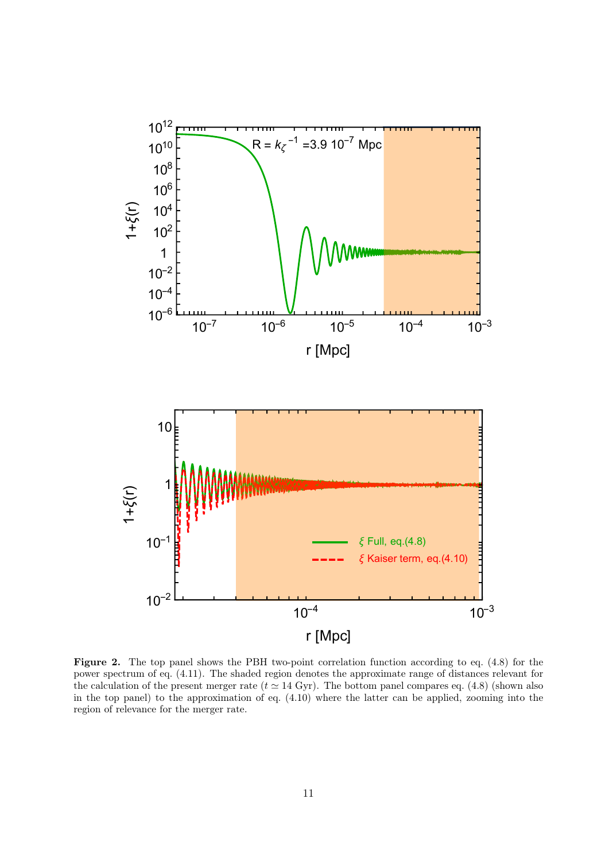<span id="page-10-0"></span>

Figure 2. The top panel shows the PBH two-point correlation function according to eq.  $(4.8)$  for the power spectrum of eq. [\(4.11\)](#page-8-1). The shaded region denotes the approximate range of distances relevant for the calculation of the present merger rate ( $t \approx 14$  Gyr). The bottom panel compares eq. [\(4.8\)](#page-8-2) (shown also in the top panel) to the approximation of eq. [\(4.10\)](#page-8-4) where the latter can be applied, zooming into the region of relevance for the merger rate.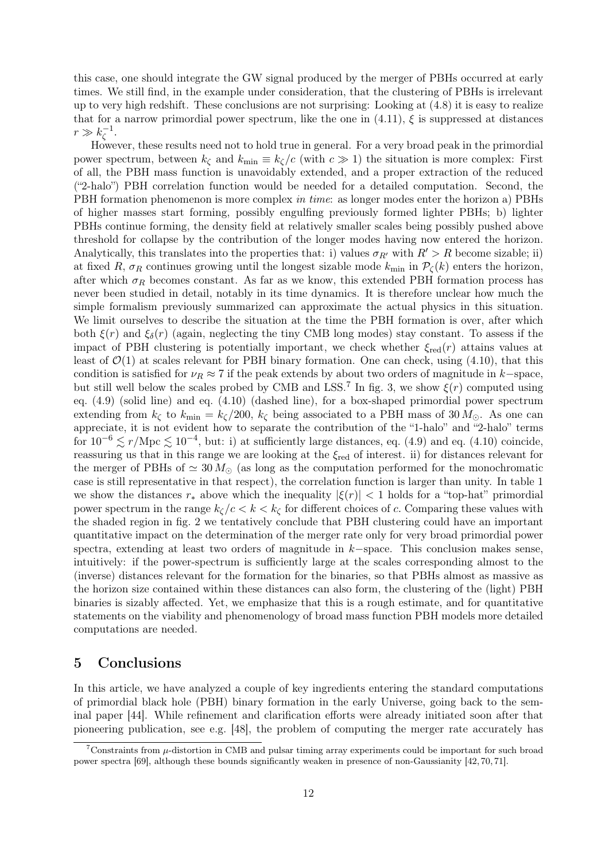this case, one should integrate the GW signal produced by the merger of PBHs occurred at early times. We still find, in the example under consideration, that the clustering of PBHs is irrelevant up to very high redshift. These conclusions are not surprising: Looking at [\(4.8\)](#page-8-2) it is easy to realize that for a narrow primordial power spectrum, like the one in  $(4.11)$ ,  $\xi$  is suppressed at distances  $r \gg k_\zeta^{-1}$ ζ .

However, these results need not to hold true in general. For a very broad peak in the primordial power spectrum, between  $k_{\zeta}$  and  $k_{\min} \equiv k_{\zeta}/c$  (with  $c \gg 1$ ) the situation is more complex: First of all, the PBH mass function is unavoidably extended, and a proper extraction of the reduced ("2-halo") PBH correlation function would be needed for a detailed computation. Second, the PBH formation phenomenon is more complex *in time*: as longer modes enter the horizon a) PBHs of higher masses start forming, possibly engulfing previously formed lighter PBHs; b) lighter PBHs continue forming, the density field at relatively smaller scales being possibly pushed above threshold for collapse by the contribution of the longer modes having now entered the horizon. Analytically, this translates into the properties that: i) values  $\sigma_{R'}$  with  $R' > R$  become sizable; ii) at fixed R,  $\sigma_R$  continues growing until the longest sizable mode  $k_{\text{min}}$  in  $\mathcal{P}_{\zeta}(k)$  enters the horizon, after which  $\sigma_R$  becomes constant. As far as we know, this extended PBH formation process has never been studied in detail, notably in its time dynamics. It is therefore unclear how much the simple formalism previously summarized can approximate the actual physics in this situation. We limit ourselves to describe the situation at the time the PBH formation is over, after which both  $\xi(r)$  and  $\xi_{\delta}(r)$  (again, neglecting the tiny CMB long modes) stay constant. To assess if the impact of PBH clustering is potentially important, we check whether  $\xi_{\text{red}}(r)$  attains values at least of  $\mathcal{O}(1)$  at scales relevant for PBH binary formation. One can check, using [\(4.10\)](#page-8-4), that this condition is satisfied for  $\nu_R \approx 7$  if the peak extends by about two orders of magnitude in k–space, but still well below the scales probed by CMB and LSS.<sup>[7](#page-11-1)</sup> In fig. [3,](#page-12-0) we show  $\xi(r)$  computed using eq. [\(4.9\)](#page-8-3) (solid line) and eq. [\(4.10\)](#page-8-4) (dashed line), for a box-shaped primordial power spectrum extending from  $k_{\zeta}$  to  $k_{\min} = k_{\zeta}/200$ ,  $k_{\zeta}$  being associated to a PBH mass of 30  $M_{\odot}$ . As one can appreciate, it is not evident how to separate the contribution of the "1-halo" and "2-halo" terms for  $10^{-6} \lesssim r/\text{Mpc} \lesssim 10^{-4}$ , but: i) at sufficiently large distances, eq. [\(4.9\)](#page-8-3) and eq. [\(4.10\)](#page-8-4) coincide, reassuring us that in this range we are looking at the  $\xi_{\text{red}}$  of interest. ii) for distances relevant for the merger of PBHs of  $\simeq 30 M_{\odot}$  (as long as the computation performed for the monochromatic case is still representative in that respect), the correlation function is larger than unity. In table [1](#page-12-1) we show the distances  $r_*$  above which the inequality  $|\xi(r)| < 1$  holds for a "top-hat" primordial power spectrum in the range  $k<sub>\zeta</sub>/c < k < k<sub>\zeta</sub>$  for different choices of c. Comparing these values with the shaded region in fig. [2](#page-10-0) we tentatively conclude that PBH clustering could have an important quantitative impact on the determination of the merger rate only for very broad primordial power spectra, extending at least two orders of magnitude in k−space. This conclusion makes sense, intuitively: if the power-spectrum is sufficiently large at the scales corresponding almost to the (inverse) distances relevant for the formation for the binaries, so that PBHs almost as massive as the horizon size contained within these distances can also form, the clustering of the (light) PBH binaries is sizably affected. Yet, we emphasize that this is a rough estimate, and for quantitative statements on the viability and phenomenology of broad mass function PBH models more detailed computations are needed.

# <span id="page-11-0"></span>5 Conclusions

In this article, we have analyzed a couple of key ingredients entering the standard computations of primordial black hole (PBH) binary formation in the early Universe, going back to the seminal paper [\[44\]](#page-19-8). While refinement and clarification efforts were already initiated soon after that pioneering publication, see e.g. [\[48\]](#page-19-11), the problem of computing the merger rate accurately has

<span id="page-11-1"></span> $7$ Constraints from  $\mu$ -distortion in CMB and pulsar timing array experiments could be important for such broad power spectra [\[69\]](#page-20-6), although these bounds significantly weaken in presence of non-Gaussianity [\[42,](#page-19-6) [70,](#page-20-7) [71\]](#page-20-8).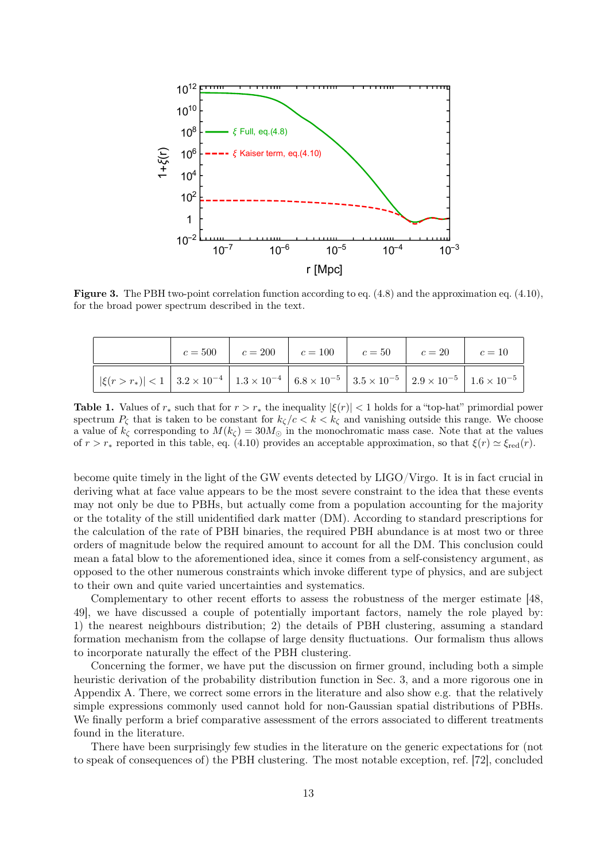<span id="page-12-0"></span>

Figure 3. The PBH two-point correlation function according to eq. [\(4.8\)](#page-8-2) and the approximation eq. [\(4.10\)](#page-8-4), for the broad power spectrum described in the text.

<span id="page-12-1"></span>

|  | $c = 500$ $c = 200$ $c = 100$ $c = 50$ $c = 20$ $c = 10$ |  |  |
|--|----------------------------------------------------------|--|--|
|  |                                                          |  |  |

Table 1. Values of  $r_*$  such that for  $r > r_*$  the inequality  $|\xi(r)| < 1$  holds for a "top-hat" primordial power spectrum  $P_{\zeta}$  that is taken to be constant for  $k_{\zeta}/c < k < k_{\zeta}$  and vanishing outside this range. We choose a value of  $k_{\zeta}$  corresponding to  $M(k_{\zeta}) = 30M_{\odot}$  in the monochromatic mass case. Note that at the values of  $r > r_*$  reported in this table, eq. [\(4.10\)](#page-8-4) provides an acceptable approximation, so that  $\xi(r) \simeq \xi_{\text{red}}(r)$ .

become quite timely in the light of the GW events detected by LIGO/Virgo. It is in fact crucial in deriving what at face value appears to be the most severe constraint to the idea that these events may not only be due to PBHs, but actually come from a population accounting for the majority or the totality of the still unidentified dark matter (DM). According to standard prescriptions for the calculation of the rate of PBH binaries, the required PBH abundance is at most two or three orders of magnitude below the required amount to account for all the DM. This conclusion could mean a fatal blow to the aforementioned idea, since it comes from a self-consistency argument, as opposed to the other numerous constraints which invoke different type of physics, and are subject to their own and quite varied uncertainties and systematics.

Complementary to other recent efforts to assess the robustness of the merger estimate [\[48,](#page-19-11) [49\]](#page-19-12), we have discussed a couple of potentially important factors, namely the role played by: 1) the nearest neighbours distribution; 2) the details of PBH clustering, assuming a standard formation mechanism from the collapse of large density fluctuations. Our formalism thus allows to incorporate naturally the effect of the PBH clustering.

Concerning the former, we have put the discussion on firmer ground, including both a simple heuristic derivation of the probability distribution function in Sec. [3,](#page-4-0) and a more rigorous one in Appendix [A.](#page-14-0) There, we correct some errors in the literature and also show e.g. that the relatively simple expressions commonly used cannot hold for non-Gaussian spatial distributions of PBHs. We finally perform a brief comparative assessment of the errors associated to different treatments found in the literature.

There have been surprisingly few studies in the literature on the generic expectations for (not to speak of consequences of) the PBH clustering. The most notable exception, ref. [\[72\]](#page-20-9), concluded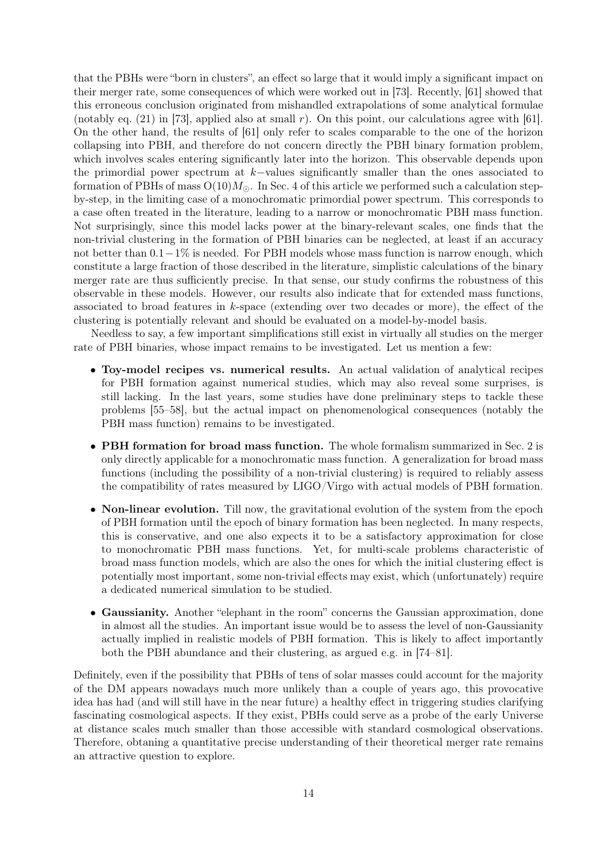that the PBHs were "born in clusters", an effect so large that it would imply a significant impact on their merger rate, some consequences of which were worked out in [\[73\]](#page-20-10). Recently, [\[61\]](#page-19-24) showed that this erroneous conclusion originated from mishandled extrapolations of some analytical formulae (notably eq.  $(21)$  in [\[73\]](#page-20-10), applied also at small r). On this point, our calculations agree with [\[61\]](#page-19-24). On the other hand, the results of [\[61\]](#page-19-24) only refer to scales comparable to the one of the horizon collapsing into PBH, and therefore do not concern directly the PBH binary formation problem, which involves scales entering significantly later into the horizon. This observable depends upon the primordial power spectrum at k−values significantly smaller than the ones associated to formation of PBHs of mass  $O(10)M_{\odot}$ . In Sec. 4 of this article we performed such a calculation stepby-step, in the limiting case of a monochromatic primordial power spectrum. This corresponds to a case often treated in the literature, leading to a narrow or monochromatic PBH mass function. Not surprisingly, since this model lacks power at the binary-relevant scales, one finds that the non-trivial clustering in the formation of PBH binaries can be neglected, at least if an accuracy not better than  $0.1-1\%$  is needed. For PBH models whose mass function is narrow enough, which constitute a large fraction of those described in the literature, simplistic calculations of the binary merger rate are thus sufficiently precise. In that sense, our study confirms the robustness of this observable in these models. However, our results also indicate that for extended mass functions, associated to broad features in k-space (extending over two decades or more), the effect of the clustering is potentially relevant and should be evaluated on a model-by-model basis.

Needless to say, a few important simplifications still exist in virtually all studies on the merger rate of PBH binaries, whose impact remains to be investigated. Let us mention a few:

- Toy-model recipes vs. numerical results. An actual validation of analytical recipes for PBH formation against numerical studies, which may also reveal some surprises, is still lacking. In the last years, some studies have done preliminary steps to tackle these problems [\[55–](#page-19-20)[58\]](#page-19-23), but the actual impact on phenomenological consequences (notably the PBH mass function) remains to be investigated.
- PBH formation for broad mass function. The whole formalism summarized in Sec. 2 is only directly applicable for a monochromatic mass function. A generalization for broad mass functions (including the possibility of a non-trivial clustering) is required to reliably assess the compatibility of rates measured by LIGO/Virgo with actual models of PBH formation.
- Non-linear evolution. Till now, the gravitational evolution of the system from the epoch of PBH formation until the epoch of binary formation has been neglected. In many respects, this is conservative, and one also expects it to be a satisfactory approximation for close to monochromatic PBH mass functions. Yet, for multi-scale problems characteristic of broad mass function models, which are also the ones for which the initial clustering effect is potentially most important, some non-trivial effects may exist, which (unfortunately) require a dedicated numerical simulation to be studied.
- Gaussianity. Another "elephant in the room" concerns the Gaussian approximation, done in almost all the studies. An important issue would be to assess the level of non-Gaussianity actually implied in realistic models of PBH formation. This is likely to affect importantly both the PBH abundance and their clustering, as argued e.g. in [\[74–](#page-20-11)[81\]](#page-20-12).

Definitely, even if the possibility that PBHs of tens of solar masses could account for the majority of the DM appears nowadays much more unlikely than a couple of years ago, this provocative idea has had (and will still have in the near future) a healthy effect in triggering studies clarifying fascinating cosmological aspects. If they exist, PBHs could serve as a probe of the early Universe at distance scales much smaller than those accessible with standard cosmological observations. Therefore, obtaning a quantitative precise understanding of their theoretical merger rate remains an attractive question to explore.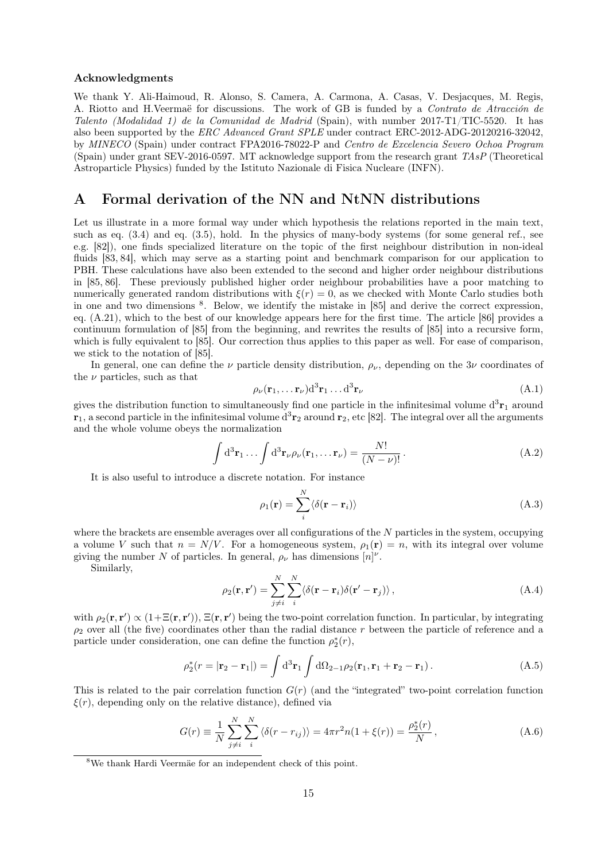#### Acknowledgments

We thank Y. Ali-Haimoud, R. Alonso, S. Camera, A. Carmona, A. Casas, V. Desjacques, M. Regis, A. Riotto and H.Veermaë for discussions. The work of GB is funded by a Contrato de Atracción de Talento (Modalidad 1) de la Comunidad de Madrid (Spain), with number 2017-T1/TIC-5520. It has also been supported by the ERC Advanced Grant SPLE under contract ERC-2012-ADG-20120216-32042, by MINECO (Spain) under contract FPA2016-78022-P and Centro de Excelencia Severo Ochoa Program (Spain) under grant SEV-2016-0597. MT acknowledge support from the research grant TAsP (Theoretical Astroparticle Physics) funded by the Istituto Nazionale di Fisica Nucleare (INFN).

# <span id="page-14-0"></span>A Formal derivation of the NN and NtNN distributions

Let us illustrate in a more formal way under which hypothesis the relations reported in the main text, such as eq. [\(3.4\)](#page-5-3) and eq. [\(3.5\)](#page-5-1), hold. In the physics of many-body systems (for some general ref., see e.g. [\[82\]](#page-20-13)), one finds specialized literature on the topic of the first neighbour distribution in non-ideal fluids [\[83,](#page-20-14) [84\]](#page-20-15), which may serve as a starting point and benchmark comparison for our application to PBH. These calculations have also been extended to the second and higher order neighbour distributions in [\[85,](#page-20-16) [86\]](#page-20-17). These previously published higher order neighbour probabilities have a poor matching to numerically generated random distributions with  $\xi(r) = 0$ , as we checked with Monte Carlo studies both in one and two dimensions [8](#page-14-1) . Below, we identify the mistake in [\[85\]](#page-20-16) and derive the correct expression, eq.  $(A.21)$ , which to the best of our knowledge appears here for the first time. The article [\[86\]](#page-20-17) provides a continuum formulation of [\[85\]](#page-20-16) from the beginning, and rewrites the results of [\[85\]](#page-20-16) into a recursive form, which is fully equivalent to [\[85\]](#page-20-16). Our correction thus applies to this paper as well. For ease of comparison, we stick to the notation of [\[85\]](#page-20-16).

In general, one can define the  $\nu$  particle density distribution,  $\rho_{\nu}$ , depending on the 3 $\nu$  coordinates of the  $\nu$  particles, such as that

$$
\rho_{\nu}(\mathbf{r}_1, \dots \mathbf{r}_{\nu}) d^3 \mathbf{r}_1 \dots d^3 \mathbf{r}_{\nu}
$$
\n(A.1)

gives the distribution function to simultaneously find one particle in the infinitesimal volume  $d^3\mathbf{r}_1$  around  $r_1$ , a second particle in the infinitesimal volume  $d^3r_2$  around  $r_2$ , etc [\[82\]](#page-20-13). The integral over all the arguments and the whole volume obeys the normalization

<span id="page-14-2"></span>
$$
\int d^3 \mathbf{r}_1 \dots \int d^3 \mathbf{r}_{\nu} \rho_{\nu}(\mathbf{r}_1, \dots \mathbf{r}_{\nu}) = \frac{N!}{(N - \nu)!}.
$$
 (A.2)

It is also useful to introduce a discrete notation. For instance

$$
\rho_1(\mathbf{r}) = \sum_{i}^{N} \langle \delta(\mathbf{r} - \mathbf{r}_i) \rangle
$$
\n(A.3)

where the brackets are ensemble averages over all configurations of the N particles in the system, occupying a volume V such that  $n = N/V$ . For a homogeneous system,  $\rho_1(\mathbf{r}) = n$ , with its integral over volume giving the number N of particles. In general,  $\rho_{\nu}$  has dimensions  $[n]^{\nu}$ .

Similarly,

$$
\rho_2(\mathbf{r}, \mathbf{r}') = \sum_{j \neq i}^{N} \sum_{i}^{N} \langle \delta(\mathbf{r} - \mathbf{r}_i) \delta(\mathbf{r}' - \mathbf{r}_j) \rangle, \qquad (A.4)
$$

with  $\rho_2(\mathbf{r}, \mathbf{r}') \propto (1 + \Xi(\mathbf{r}, \mathbf{r}'))$ ,  $\Xi(\mathbf{r}, \mathbf{r}')$  being the two-point correlation function. In particular, by integrating  $\rho_2$  over all (the five) coordinates other than the radial distance r between the particle of reference and a particle under consideration, one can define the function  $\rho_2^*(r)$ ,

$$
\rho_2^*(r = |\mathbf{r}_2 - \mathbf{r}_1|) = \int d^3 \mathbf{r}_1 \int d\Omega_{2-1} \rho_2(\mathbf{r}_1, \mathbf{r}_1 + \mathbf{r}_2 - \mathbf{r}_1).
$$
 (A.5)

This is related to the pair correlation function  $G(r)$  (and the "integrated" two-point correlation function  $\xi(r)$ , depending only on the relative distance), defined via

$$
G(r) = \frac{1}{N} \sum_{j \neq i}^{N} \sum_{i}^{N} \langle \delta(r - r_{ij}) \rangle = 4\pi r^{2} n (1 + \xi(r)) = \frac{\rho_{2}^{*}(r)}{N}, \qquad (A.6)
$$

<span id="page-14-1"></span><sup>8</sup>We thank Hardi Veermäe for an independent check of this point.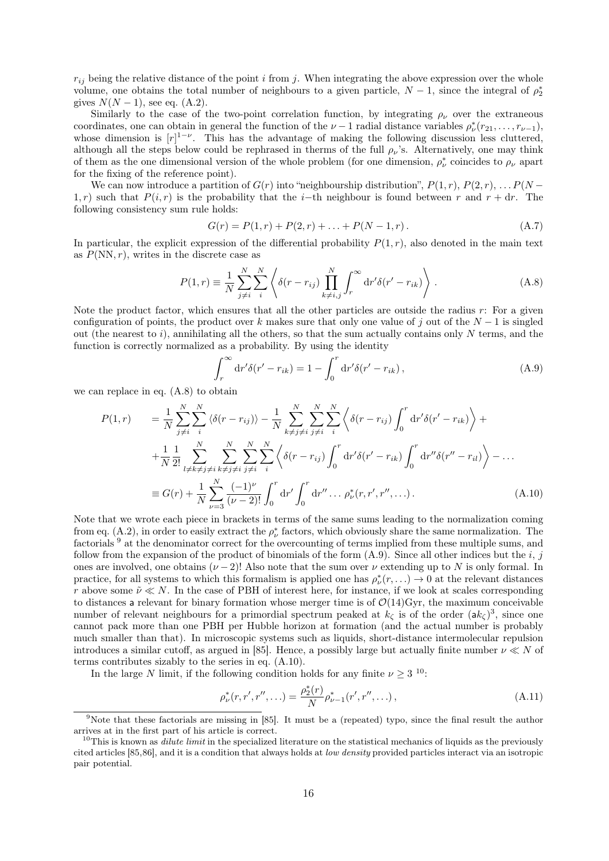$r_{ij}$  being the relative distance of the point i from j. When integrating the above expression over the whole volume, one obtains the total number of neighbours to a given particle,  $N-1$ , since the integral of  $\rho_2^*$ gives  $N(N-1)$ , see eq. [\(A.2\)](#page-14-2).

Similarly to the case of the two-point correlation function, by integrating  $\rho_{\nu}$  over the extraneous coordinates, one can obtain in general the function of the  $\nu-1$  radial distance variables  $\rho^*_{\nu}(r_{21},\ldots,r_{\nu-1}),$ whose dimension is  $[r]^{1-\nu}$ . This has the advantage of making the following discussion less cluttered, although all the steps below could be rephrased in therms of the full  $\rho_{\nu}$ 's. Alternatively, one may think of them as the one dimensional version of the whole problem (for one dimension,  $\rho^*_{\nu}$  coincides to  $\rho_{\nu}$  apart for the fixing of the reference point).

We can now introduce a partition of  $G(r)$  into "neighbourship distribution",  $P(1, r)$ ,  $P(2, r)$ , ...  $P(N - r)$ 1, r) such that  $P(i, r)$  is the probability that the i–th neighbour is found between r and  $r + dr$ . The following consistency sum rule holds:

<span id="page-15-6"></span>
$$
G(r) = P(1, r) + P(2, r) + \dots + P(N - 1, r).
$$
\n(A.7)

In particular, the explicit expression of the differential probability  $P(1,r)$ , also denoted in the main text as  $P(NN, r)$ , writes in the discrete case as

<span id="page-15-0"></span>
$$
P(1,r) \equiv \frac{1}{N} \sum_{j \neq i}^{N} \sum_{i}^{N} \left\langle \delta(r - r_{ij}) \prod_{k \neq i,j}^{N} \int_{r}^{\infty} dr' \delta(r' - r_{ik}) \right\rangle.
$$
 (A.8)

Note the product factor, which ensures that all the other particles are outside the radius  $r$ : For a given configuration of points, the product over k makes sure that only one value of j out of the  $N-1$  is singled out (the nearest to  $i$ ), annihilating all the others, so that the sum actually contains only N terms, and the function is correctly normalized as a probability. By using the identity

<span id="page-15-2"></span>
$$
\int_{r}^{\infty} dr' \delta(r' - r_{ik}) = 1 - \int_{0}^{r} dr' \delta(r' - r_{ik}),
$$
\n(A.9)

we can replace in eq. [\(A.8\)](#page-15-0) to obtain

<span id="page-15-3"></span>
$$
P(1,r) = \frac{1}{N} \sum_{j \neq i}^{N} \sum_{i}^{N} \langle \delta(r - r_{ij}) \rangle - \frac{1}{N} \sum_{k \neq j \neq i}^{N} \sum_{j \neq i}^{N} \sum_{j}^{N} \langle \delta(r - r_{ij}) \int_{0}^{r} dr' \delta(r' - r_{ik}) \rangle +
$$
  
+ 
$$
\frac{1}{N} \frac{1}{2!} \sum_{l \neq k \neq j \neq i}^{N} \sum_{k \neq j \neq i}^{N} \sum_{j \neq i}^{N} \sum_{j \neq i}^{N} \langle \delta(r - r_{ij}) \int_{0}^{r} dr' \delta(r' - r_{ik}) \int_{0}^{r} dr'' \delta(r'' - r_{il}) \rangle - ...
$$
  
= 
$$
G(r) + \frac{1}{N} \sum_{\nu=3}^{N} \frac{(-1)^{\nu}}{(\nu - 2)!} \int_{0}^{r} dr' \int_{0}^{r} dr'' ... \rho_{\nu}^{*}(r, r', r'', ...).
$$
 (A.10)

Note that we wrote each piece in brackets in terms of the same sums leading to the normalization coming from eq.  $(A.2)$ , in order to easily extract the  $\rho^*_{\nu}$  factors, which obviously share the same normalization. The factorials [9](#page-15-1) at the denominator correct for the overcounting of terms implied from these multiple sums, and follow from the expansion of the product of binomials of the form  $(A.9)$ . Since all other indices but the i, j ones are involved, one obtains ( $\nu - 2$ )! Also note that the sum over  $\nu$  extending up to N is only formal. In practice, for all systems to which this formalism is applied one has  $\rho^*_{\nu}(r,\ldots) \to 0$  at the relevant distances r above some  $\tilde{\nu} \ll N$ . In the case of PBH of interest here, for instance, if we look at scales corresponding to distances a relevant for binary formation whose merger time is of  $\mathcal{O}(14)Gyr$ , the maximum conceivable number of relevant neighbours for a primordial spectrum peaked at  $k<sub>\zeta</sub>$  is of the order  $(ak<sub>\zeta</sub>)^3$ , since one cannot pack more than one PBH per Hubble horizon at formation (and the actual number is probably much smaller than that). In microscopic systems such as liquids, short-distance intermolecular repulsion introduces a similar cutoff, as argued in [\[85\]](#page-20-16). Hence, a possibly large but actually finite number  $\nu \ll N$  of terms contributes sizably to the series in eq. [\(A.10\)](#page-15-3).

In the large N limit, if the following condition holds for any finite  $\nu \geq 3$  <sup>[10](#page-15-4)</sup>:

<span id="page-15-5"></span>
$$
\rho_{\nu}^*(r, r', r'', \ldots) = \frac{\rho_2^*(r)}{N} \rho_{\nu-1}^*(r', r'', \ldots), \qquad (A.11)
$$

<span id="page-15-1"></span><sup>9</sup>Note that these factorials are missing in [\[85\]](#page-20-16). It must be a (repeated) typo, since the final result the author arrives at in the first part of his article is correct.

<span id="page-15-4"></span><sup>&</sup>lt;sup>10</sup>This is known as *dilute limit* in the specialized literature on the statistical mechanics of liquids as the previously cited articles [\[85](#page-20-16)[,86\]](#page-20-17), and it is a condition that always holds at low density provided particles interact via an isotropic pair potential.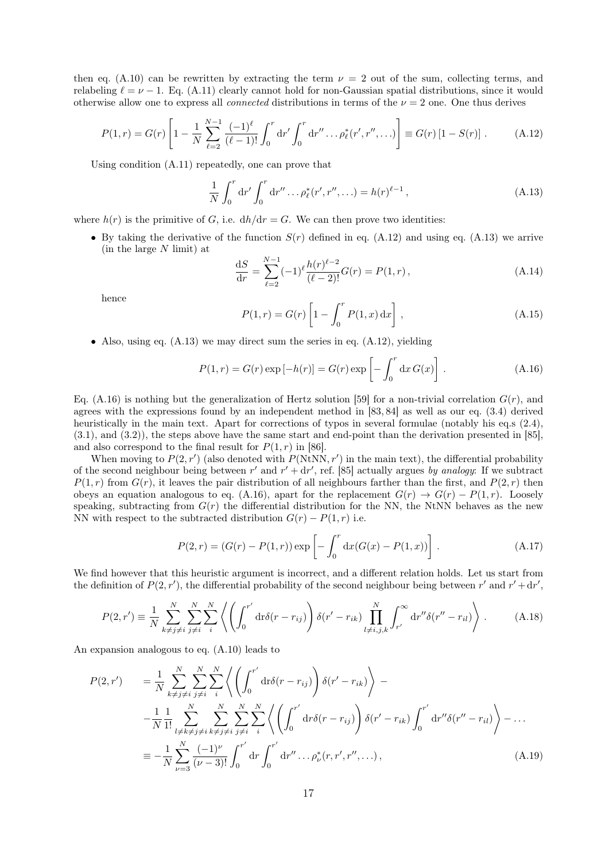then eq. [\(A.10\)](#page-15-3) can be rewritten by extracting the term  $\nu = 2$  out of the sum, collecting terms, and relabeling  $\ell = \nu - 1$ . Eq. [\(A.11\)](#page-15-5) clearly cannot hold for non-Gaussian spatial distributions, since it would otherwise allow one to express all *connected* distributions in terms of the  $\nu = 2$  one. One thus derives

<span id="page-16-0"></span>
$$
P(1,r) = G(r) \left[ 1 - \frac{1}{N} \sum_{\ell=2}^{N-1} \frac{(-1)^{\ell}}{(\ell-1)!} \int_0^r dr' \int_0^r dr'' \dots \rho_{\ell}^*(r', r'', \dots) \right] \equiv G(r) \left[ 1 - S(r) \right]. \tag{A.12}
$$

Using condition [\(A.11\)](#page-15-5) repeatedly, one can prove that

<span id="page-16-1"></span>
$$
\frac{1}{N} \int_0^r dr' \int_0^r dr'' \dots \rho_\ell^*(r', r'', \dots) = h(r)^{\ell - 1},
$$
\n(A.13)

where  $h(r)$  is the primitive of G, i.e.  $dh/dr = G$ . We can then prove two identities:

• By taking the derivative of the function  $S(r)$  defined in eq. [\(A.12\)](#page-16-0) and using eq. [\(A.13\)](#page-16-1) we arrive  $(in the large N limit)$  at

$$
\frac{\mathrm{d}S}{\mathrm{d}r} = \sum_{\ell=2}^{N-1} (-1)^{\ell} \frac{h(r)^{\ell-2}}{(\ell-2)!} G(r) = P(1, r),\tag{A.14}
$$

hence

$$
P(1,r) = G(r) \left[ 1 - \int_0^r P(1,x) dx \right],
$$
\n(A.15)

• Also, using eq.  $(A.13)$  we may direct sum the series in eq.  $(A.12)$ , yielding

<span id="page-16-2"></span>
$$
P(1,r) = G(r) \exp[-h(r)] = G(r) \exp\left[-\int_0^r dx \, G(x)\right].
$$
 (A.16)

Eq. [\(A.16\)](#page-16-2) is nothing but the generalization of Hertz solution [\[59\]](#page-19-18) for a non-trivial correlation  $G(r)$ , and agrees with the expressions found by an independent method in [\[83,](#page-20-14) [84\]](#page-20-15) as well as our eq. [\(3.4\)](#page-5-3) derived heuristically in the main text. Apart for corrections of typos in several formulae (notably his eq.s (2.4), (3.1), and (3.2)), the steps above have the same start and end-point than the derivation presented in [\[85\]](#page-20-16), and also correspond to the final result for  $P(1,r)$  in [\[86\]](#page-20-17).

When moving to  $P(2, r')$  (also denoted with  $P(NtNN, r')$  in the main text), the differential probability of the second neighbour being between r' and  $r' + dr'$ , ref. [\[85\]](#page-20-16) actually argues by analogy: If we subtract  $P(1,r)$  from  $G(r)$ , it leaves the pair distribution of all neighbours farther than the first, and  $P(2,r)$  then obeys an equation analogous to eq. [\(A.16\)](#page-16-2), apart for the replacement  $G(r) \rightarrow G(r) - P(1, r)$ . Loosely speaking, subtracting from  $G(r)$  the differential distribution for the NN, the NtNN behaves as the new NN with respect to the subtracted distribution  $G(r) - P(1, r)$  i.e.

<span id="page-16-4"></span>
$$
P(2,r) = (G(r) - P(1,r)) \exp \left[ - \int_0^r dx (G(x) - P(1,x)) \right].
$$
 (A.17)

We find however that this heuristic argument is incorrect, and a different relation holds. Let us start from the definition of  $P(2, r')$ , the differential probability of the second neighbour being between r' and  $r' + dr'$ ,

$$
P(2,r') \equiv \frac{1}{N} \sum_{k \neq j \neq i}^{N} \sum_{j \neq i}^{N} \sum_{i}^{N} \left\langle \left( \int_{0}^{r'} \mathrm{d}r \delta(r - r_{ij}) \right) \delta(r' - r_{ik}) \prod_{l \neq i, j, k}^{N} \int_{r'}^{\infty} \mathrm{d}r'' \delta(r'' - r_{il}) \right\rangle. \tag{A.18}
$$

An expansion analogous to eq. [\(A.10\)](#page-15-3) leads to

<span id="page-16-3"></span>
$$
P(2, r') = \frac{1}{N} \sum_{k \neq j \neq i}^{N} \sum_{j \neq i}^{N} \sum_{i}^{N} \left\langle \left( \int_{0}^{r'} dr \delta(r - r_{ij}) \right) \delta(r' - r_{ik}) \right\rangle - \frac{1}{N} \frac{1}{1!} \sum_{l \neq k \neq j \neq i}^{N} \sum_{k \neq j \neq i}^{N} \sum_{j \neq i}^{N} \sum_{j \neq i}^{N} \sum_{j \neq i}^{N} \left\langle \left( \int_{0}^{r'} dr \delta(r - r_{ij}) \right) \delta(r' - r_{ik}) \int_{0}^{r'} dr'' \delta(r'' - r_{il}) \right\rangle - \dots
$$
  

$$
\equiv -\frac{1}{N} \sum_{\nu=3}^{N} \frac{(-1)^{\nu}}{(\nu - 3)!} \int_{0}^{r'} dr \int_{0}^{r'} dr'' \dots \rho_{\nu}^{*}(r, r', r'', \dots), \tag{A.19}
$$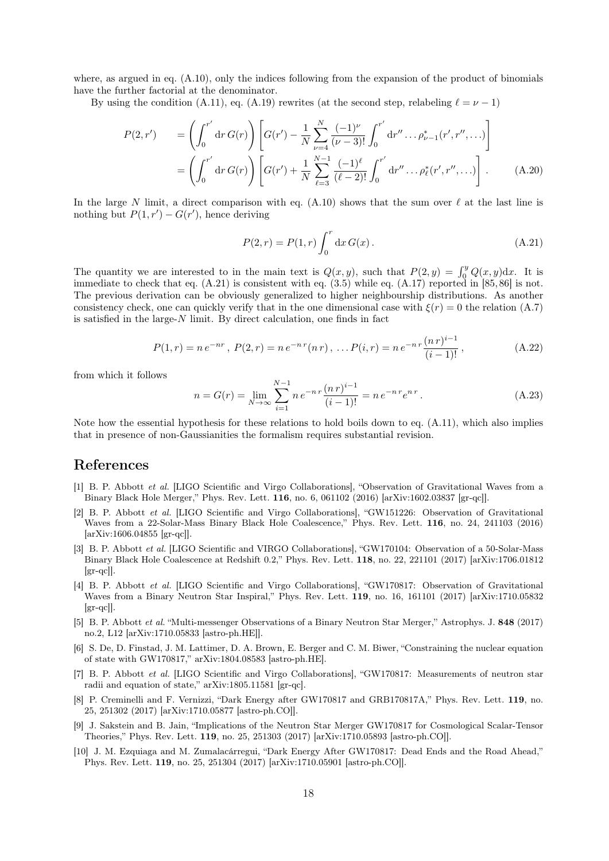where, as argued in eq.  $(A.10)$ , only the indices following from the expansion of the product of binomials have the further factorial at the denominator.

By using the condition [\(A.11\)](#page-15-5), eq. [\(A.19\)](#page-16-3) rewrites (at the second step, relabeling  $\ell = \nu - 1$ )

$$
P(2,r') = \left(\int_0^{r'} dr G(r)\right) \left[G(r') - \frac{1}{N} \sum_{\nu=4}^N \frac{(-1)^{\nu}}{(\nu-3)!} \int_0^{r'} dr'' \dots \rho_{\nu-1}^*(r',r'',\dots)\right]
$$
  
=  $\left(\int_0^{r'} dr G(r)\right) \left[G(r') + \frac{1}{N} \sum_{\ell=3}^{N-1} \frac{(-1)^{\ell}}{(\ell-2)!} \int_0^{r'} dr'' \dots \rho_{\ell}^*(r',r'',\dots)\right].$  (A.20)

In the large N limit, a direct comparison with eq. [\(A.10\)](#page-15-3) shows that the sum over  $\ell$  at the last line is nothing but  $P(1, r') - G(r')$ , hence deriving

<span id="page-17-6"></span>
$$
P(2,r) = P(1,r) \int_0^r dx \, G(x) \,. \tag{A.21}
$$

The quantity we are interested to in the main text is  $Q(x, y)$ , such that  $P(2, y) = \int_0^y Q(x, y) dx$ . It is immediate to check that eq. [\(A.21\)](#page-17-6) is consistent with eq. [\(3.5\)](#page-5-1) while eq. [\(A.17\)](#page-16-4) reported in [\[85,](#page-20-16) [86\]](#page-20-17) is not. The previous derivation can be obviously generalized to higher neighbourship distributions. As another consistency check, one can quickly verify that in the one dimensional case with  $\xi(r) = 0$  the relation [\(A.7\)](#page-15-6) is satisfied in the large- $N$  limit. By direct calculation, one finds in fact

$$
P(1,r) = n e^{-nr}, P(2,r) = n e^{-n r} (n r), \dots P(i,r) = n e^{-n r} \frac{(n r)^{i-1}}{(i-1)!},
$$
\n(A.22)

from which it follows

$$
n = G(r) = \lim_{N \to \infty} \sum_{i=1}^{N-1} n e^{-n r} \frac{(n r)^{i-1}}{(i-1)!} = n e^{-n r} e^{n r}.
$$
 (A.23)

Note how the essential hypothesis for these relations to hold boils down to eq. [\(A.11\)](#page-15-5), which also implies that in presence of non-Gaussianities the formalism requires substantial revision.

#### References

- <span id="page-17-0"></span>[1] B. P. Abbott et al. [LIGO Scientific and Virgo Collaborations], "Observation of Gravitational Waves from a Binary Black Hole Merger," Phys. Rev. Lett. 116, no. 6, 061102 (2016) [arXiv:1602.03837 [gr-qc]].
- [2] B. P. Abbott et al. [LIGO Scientific and Virgo Collaborations], "GW151226: Observation of Gravitational Waves from a 22-Solar-Mass Binary Black Hole Coalescence," Phys. Rev. Lett. 116, no. 24, 241103 (2016) [arXiv:1606.04855 [gr-qc]].
- [3] B. P. Abbott et al. [LIGO Scientific and VIRGO Collaborations], "GW170104: Observation of a 50-Solar-Mass Binary Black Hole Coalescence at Redshift 0.2," Phys. Rev. Lett. 118, no. 22, 221101 (2017) [arXiv:1706.01812  $|gr-qc|$ .
- <span id="page-17-1"></span>[4] B. P. Abbott et al. [LIGO Scientific and Virgo Collaborations], "GW170817: Observation of Gravitational Waves from a Binary Neutron Star Inspiral," Phys. Rev. Lett. 119, no. 16, 161101 (2017) [arXiv:1710.05832  $\left[\text{gr-qc}\right]$ .
- <span id="page-17-2"></span>[5] B. P. Abbott et al. "Multi-messenger Observations of a Binary Neutron Star Merger," Astrophys. J. 848 (2017) no.2, L12 [arXiv:1710.05833 [astro-ph.HE]].
- <span id="page-17-3"></span>[6] S. De, D. Finstad, J. M. Lattimer, D. A. Brown, E. Berger and C. M. Biwer, "Constraining the nuclear equation of state with GW170817," arXiv:1804.08583 [astro-ph.HE].
- <span id="page-17-4"></span>[7] B. P. Abbott et al. [LIGO Scientific and Virgo Collaborations], "GW170817: Measurements of neutron star radii and equation of state," arXiv:1805.11581 [gr-qc].
- <span id="page-17-5"></span>[8] P. Creminelli and F. Vernizzi, "Dark Energy after GW170817 and GRB170817A," Phys. Rev. Lett. 119, no. 25, 251302 (2017) [arXiv:1710.05877 [astro-ph.CO]].
- [9] J. Sakstein and B. Jain, "Implications of the Neutron Star Merger GW170817 for Cosmological Scalar-Tensor Theories," Phys. Rev. Lett. 119, no. 25, 251303 (2017) [arXiv:1710.05893 [astro-ph.CO]].
- [10] J. M. Ezquiaga and M. Zumalacárregui, "Dark Energy After GW170817: Dead Ends and the Road Ahead," Phys. Rev. Lett. 119, no. 25, 251304 (2017) [arXiv:1710.05901 [astro-ph.CO]].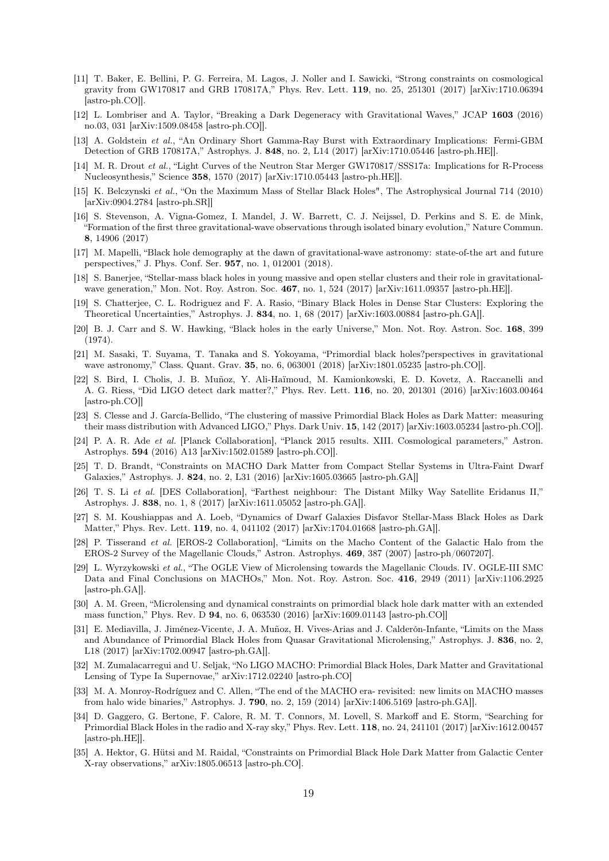- <span id="page-18-0"></span>[11] T. Baker, E. Bellini, P. G. Ferreira, M. Lagos, J. Noller and I. Sawicki, "Strong constraints on cosmological gravity from GW170817 and GRB 170817A," Phys. Rev. Lett. 119, no. 25, 251301 (2017) [arXiv:1710.06394 [astro-ph.CO]].
- <span id="page-18-1"></span>[12] L. Lombriser and A. Taylor, "Breaking a Dark Degeneracy with Gravitational Waves," JCAP 1603 (2016) no.03, 031 [arXiv:1509.08458 [astro-ph.CO]].
- <span id="page-18-2"></span>[13] A. Goldstein et al., "An Ordinary Short Gamma-Ray Burst with Extraordinary Implications: Fermi-GBM Detection of GRB 170817A," Astrophys. J. 848, no. 2, L14 (2017) [arXiv:1710.05446 [astro-ph.HE]].
- <span id="page-18-3"></span>[14] M. R. Drout et al., "Light Curves of the Neutron Star Merger GW170817/SSS17a: Implications for R-Process Nucleosynthesis," Science 358, 1570 (2017) [arXiv:1710.05443 [astro-ph.HE]].
- <span id="page-18-4"></span>[15] K. Belczynski et al., "On the Maximum Mass of Stellar Black Holes", The Astrophysical Journal 714 (2010) [arXiv:0904.2784 [astro-ph.SR]]
- <span id="page-18-5"></span>[16] S. Stevenson, A. Vigna-Gomez, I. Mandel, J. W. Barrett, C. J. Neijssel, D. Perkins and S. E. de Mink, "Formation of the first three gravitational-wave observations through isolated binary evolution," Nature Commun. 8, 14906 (2017)
- <span id="page-18-6"></span>[17] M. Mapelli, "Black hole demography at the dawn of gravitational-wave astronomy: state-of-the art and future perspectives," J. Phys. Conf. Ser. 957, no. 1, 012001 (2018).
- <span id="page-18-7"></span>[18] S. Banerjee, "Stellar-mass black holes in young massive and open stellar clusters and their role in gravitationalwave generation," Mon. Not. Roy. Astron. Soc. 467, no. 1, 524 (2017) [arXiv:1611.09357 [astro-ph.HE]].
- <span id="page-18-8"></span>[19] S. Chatterjee, C. L. Rodriguez and F. A. Rasio, "Binary Black Holes in Dense Star Clusters: Exploring the Theoretical Uncertainties," Astrophys. J. 834, no. 1, 68 (2017) [arXiv:1603.00884 [astro-ph.GA]].
- <span id="page-18-9"></span>[20] B. J. Carr and S. W. Hawking, "Black holes in the early Universe," Mon. Not. Roy. Astron. Soc. 168, 399 (1974).
- <span id="page-18-10"></span>[21] M. Sasaki, T. Suyama, T. Tanaka and S. Yokoyama, "Primordial black holes?perspectives in gravitational wave astronomy," Class. Quant. Grav. 35, no. 6, 063001 (2018) [arXiv:1801.05235 [astro-ph.CO]].
- <span id="page-18-11"></span>[22] S. Bird, I. Cholis, J. B. Muñoz, Y. Ali-Haïmoud, M. Kamionkowski, E. D. Kovetz, A. Raccanelli and A. G. Riess, "Did LIGO detect dark matter?," Phys. Rev. Lett. 116, no. 20, 201301 (2016) [arXiv:1603.00464 [astro-ph.CO]]
- <span id="page-18-12"></span>[23] S. Clesse and J. García-Bellido, "The clustering of massive Primordial Black Holes as Dark Matter: measuring their mass distribution with Advanced LIGO," Phys. Dark Univ. 15, 142 (2017) [arXiv:1603.05234 [astro-ph.CO]].
- <span id="page-18-13"></span>[24] P. A. R. Ade et al. [Planck Collaboration], "Planck 2015 results. XIII. Cosmological parameters," Astron. Astrophys. 594 (2016) A13 [arXiv:1502.01589 [astro-ph.CO]].
- <span id="page-18-14"></span>[25] T. D. Brandt, "Constraints on MACHO Dark Matter from Compact Stellar Systems in Ultra-Faint Dwarf Galaxies," Astrophys. J. 824, no. 2, L31 (2016) [arXiv:1605.03665 [astro-ph.GA]]
- <span id="page-18-15"></span>[26] T. S. Li et al. [DES Collaboration], "Farthest neighbour: The Distant Milky Way Satellite Eridanus II," Astrophys. J. 838, no. 1, 8 (2017) [arXiv:1611.05052 [astro-ph.GA]].
- <span id="page-18-16"></span>[27] S. M. Koushiappas and A. Loeb, "Dynamics of Dwarf Galaxies Disfavor Stellar-Mass Black Holes as Dark Matter," Phys. Rev. Lett. 119, no. 4, 041102 (2017) [arXiv:1704.01668 [astro-ph.GA]].
- <span id="page-18-17"></span>[28] P. Tisserand et al. [EROS-2 Collaboration], "Limits on the Macho Content of the Galactic Halo from the EROS-2 Survey of the Magellanic Clouds," Astron. Astrophys. 469, 387 (2007) [astro-ph/0607207].
- [29] L. Wyrzykowski et al., "The OGLE View of Microlensing towards the Magellanic Clouds. IV. OGLE-III SMC Data and Final Conclusions on MACHOs," Mon. Not. Roy. Astron. Soc. 416, 2949 (2011) [arXiv:1106.2925 [astro-ph.GA]].
- <span id="page-18-18"></span>[30] A. M. Green, "Microlensing and dynamical constraints on primordial black hole dark matter with an extended mass function," Phys. Rev. D 94, no. 6, 063530 (2016) [arXiv:1609.01143 [astro-ph.CO]]
- <span id="page-18-19"></span>[31] E. Mediavilla, J. Jiménez-Vicente, J. A. Muñoz, H. Vives-Arias and J. Calderón-Infante, "Limits on the Mass and Abundance of Primordial Black Holes from Quasar Gravitational Microlensing," Astrophys. J. 836, no. 2, L18 (2017) [arXiv:1702.00947 [astro-ph.GA]].
- <span id="page-18-20"></span>[32] M. Zumalacarregui and U. Seljak, "No LIGO MACHO: Primordial Black Holes, Dark Matter and Gravitational Lensing of Type Ia Supernovae," arXiv:1712.02240 [astro-ph.CO]
- <span id="page-18-21"></span>[33] M. A. Monroy-Rodríguez and C. Allen, "The end of the MACHO era- revisited: new limits on MACHO masses from halo wide binaries," Astrophys. J. 790, no. 2, 159 (2014) [arXiv:1406.5169 [astro-ph.GA]].
- <span id="page-18-22"></span>[34] D. Gaggero, G. Bertone, F. Calore, R. M. T. Connors, M. Lovell, S. Markoff and E. Storm, "Searching for Primordial Black Holes in the radio and X-ray sky," Phys. Rev. Lett. 118, no. 24, 241101 (2017) [arXiv:1612.00457 [astro-ph.HE]].
- <span id="page-18-23"></span>[35] A. Hektor, G. Hütsi and M. Raidal, "Constraints on Primordial Black Hole Dark Matter from Galactic Center X-ray observations," arXiv:1805.06513 [astro-ph.CO].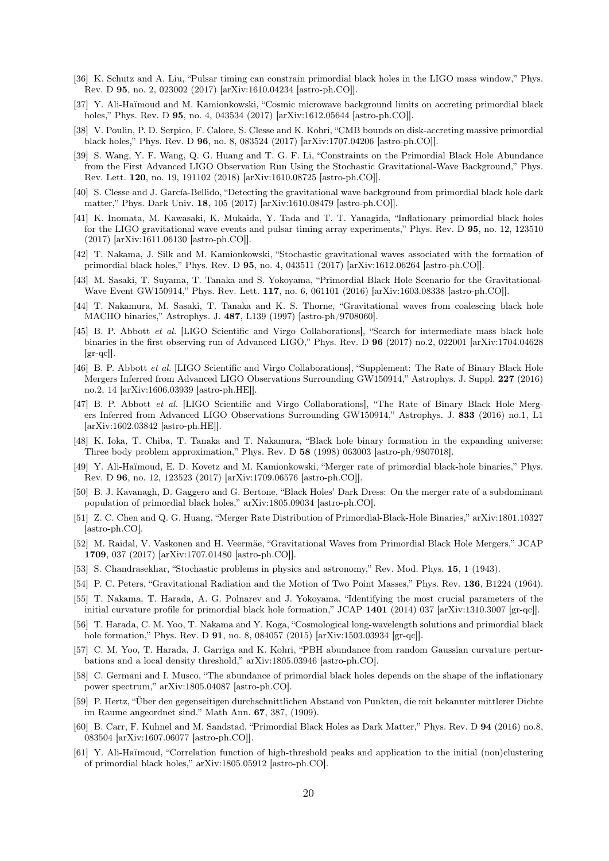- <span id="page-19-0"></span>[36] K. Schutz and A. Liu, "Pulsar timing can constrain primordial black holes in the LIGO mass window," Phys. Rev. D 95, no. 2, 023002 (2017) [arXiv:1610.04234 [astro-ph.CO]].
- <span id="page-19-1"></span>[37] Y. Ali-Haïmoud and M. Kamionkowski, "Cosmic microwave background limits on accreting primordial black holes," Phys. Rev. D **95**, no. 4, 043534 (2017) [arXiv:1612.05644 [astro-ph.CO]].
- <span id="page-19-2"></span>[38] V. Poulin, P. D. Serpico, F. Calore, S. Clesse and K. Kohri, "CMB bounds on disk-accreting massive primordial black holes," Phys. Rev. D 96, no. 8, 083524 (2017) [arXiv:1707.04206 [astro-ph.CO]].
- <span id="page-19-3"></span>[39] S. Wang, Y. F. Wang, Q. G. Huang and T. G. F. Li, "Constraints on the Primordial Black Hole Abundance from the First Advanced LIGO Observation Run Using the Stochastic Gravitational-Wave Background," Phys. Rev. Lett. 120, no. 19, 191102 (2018) [arXiv:1610.08725 [astro-ph.CO]].
- <span id="page-19-4"></span>[40] S. Clesse and J. García-Bellido, "Detecting the gravitational wave background from primordial black hole dark matter," Phys. Dark Univ. 18, 105 (2017) [arXiv:1610.08479 [astro-ph.CO]].
- <span id="page-19-5"></span>[41] K. Inomata, M. Kawasaki, K. Mukaida, Y. Tada and T. T. Yanagida, "Inflationary primordial black holes for the LIGO gravitational wave events and pulsar timing array experiments," Phys. Rev. D 95, no. 12, 123510 (2017) [arXiv:1611.06130 [astro-ph.CO]].
- <span id="page-19-6"></span>[42] T. Nakama, J. Silk and M. Kamionkowski, "Stochastic gravitational waves associated with the formation of primordial black holes," Phys. Rev. D 95, no. 4, 043511 (2017) [arXiv:1612.06264 [astro-ph.CO]].
- <span id="page-19-7"></span>[43] M. Sasaki, T. Suyama, T. Tanaka and S. Yokoyama, "Primordial Black Hole Scenario for the Gravitational-Wave Event GW150914," Phys. Rev. Lett. 117, no. 6, 061101 (2016) [arXiv:1603.08338 [astro-ph.CO]].
- <span id="page-19-8"></span>[44] T. Nakamura, M. Sasaki, T. Tanaka and K. S. Thorne, "Gravitational waves from coalescing black hole MACHO binaries," Astrophys. J. 487, L139 (1997) [astro-ph/9708060].
- <span id="page-19-9"></span>[45] B. P. Abbott et al. [LIGO Scientific and Virgo Collaborations], "Search for intermediate mass black hole binaries in the first observing run of Advanced LIGO," Phys. Rev. D 96 (2017) no.2, 022001 [arXiv:1704.04628  $\left[\text{gr-qc}\right]$ .
- [46] B. P. Abbott et al. [LIGO Scientific and Virgo Collaborations], "Supplement: The Rate of Binary Black Hole Mergers Inferred from Advanced LIGO Observations Surrounding GW150914," Astrophys. J. Suppl. 227 (2016) no.2, 14 [arXiv:1606.03939 [astro-ph.HE]].
- <span id="page-19-10"></span>[47] B. P. Abbott et al. [LIGO Scientific and Virgo Collaborations], "The Rate of Binary Black Hole Mergers Inferred from Advanced LIGO Observations Surrounding GW150914," Astrophys. J. 833 (2016) no.1, L1 [arXiv:1602.03842 [astro-ph.HE]].
- <span id="page-19-11"></span>[48] K. Ioka, T. Chiba, T. Tanaka and T. Nakamura, "Black hole binary formation in the expanding universe: Three body problem approximation," Phys. Rev. D 58 (1998) 063003 [astro-ph/9807018].
- <span id="page-19-12"></span>[49] Y. Ali-Haïmoud, E. D. Kovetz and M. Kamionkowski, "Merger rate of primordial black-hole binaries," Phys. Rev. D 96, no. 12, 123523 (2017) [arXiv:1709.06576 [astro-ph.CO]].
- <span id="page-19-13"></span>[50] B. J. Kavanagh, D. Gaggero and G. Bertone, "Black Holes' Dark Dress: On the merger rate of a subdominant population of primordial black holes," arXiv:1805.09034 [astro-ph.CO].
- <span id="page-19-14"></span>[51] Z. C. Chen and Q. G. Huang, "Merger Rate Distribution of Primordial-Black-Hole Binaries," arXiv:1801.10327 [astro-ph.CO].
- <span id="page-19-15"></span>[52] M. Raidal, V. Vaskonen and H. Veermäe, "Gravitational Waves from Primordial Black Hole Mergers," JCAP 1709, 037 (2017) [arXiv:1707.01480 [astro-ph.CO]].
- <span id="page-19-16"></span>[53] S. Chandrasekhar, "Stochastic problems in physics and astronomy," Rev. Mod. Phys. 15, 1 (1943).
- <span id="page-19-17"></span>[54] P. C. Peters, "Gravitational Radiation and the Motion of Two Point Masses," Phys. Rev. 136, B1224 (1964).
- <span id="page-19-20"></span>[55] T. Nakama, T. Harada, A. G. Polnarev and J. Yokoyama, "Identifying the most crucial parameters of the initial curvature profile for primordial black hole formation," JCAP 1401 (2014) 037 [arXiv:1310.3007 [gr-qc]].
- <span id="page-19-21"></span>[56] T. Harada, C. M. Yoo, T. Nakama and Y. Koga, "Cosmological long-wavelength solutions and primordial black hole formation," Phys. Rev. D 91, no. 8, 084057 (2015) [arXiv:1503.03934 [gr-qc]].
- <span id="page-19-22"></span>[57] C. M. Yoo, T. Harada, J. Garriga and K. Kohri, "PBH abundance from random Gaussian curvature perturbations and a local density threshold," arXiv:1805.03946 [astro-ph.CO].
- <span id="page-19-23"></span>[58] C. Germani and I. Musco, "The abundance of primordial black holes depends on the shape of the inflationary power spectrum," arXiv:1805.04087 [astro-ph.CO].
- <span id="page-19-18"></span>[59] P. Hertz, "Über den gegenseitigen durchschnittlichen Abstand von Punkten, die mit bekannter mittlerer Dichte im Raume angeordnet sind." Math Ann. 67, 387, (1909).
- <span id="page-19-19"></span>[60] B. Carr, F. Kuhnel and M. Sandstad, "Primordial Black Holes as Dark Matter," Phys. Rev. D 94 (2016) no.8, 083504 [arXiv:1607.06077 [astro-ph.CO]].
- <span id="page-19-24"></span>[61] Y. Ali-Haïmoud, "Correlation function of high-threshold peaks and application to the initial (non)clustering of primordial black holes," arXiv:1805.05912 [astro-ph.CO].